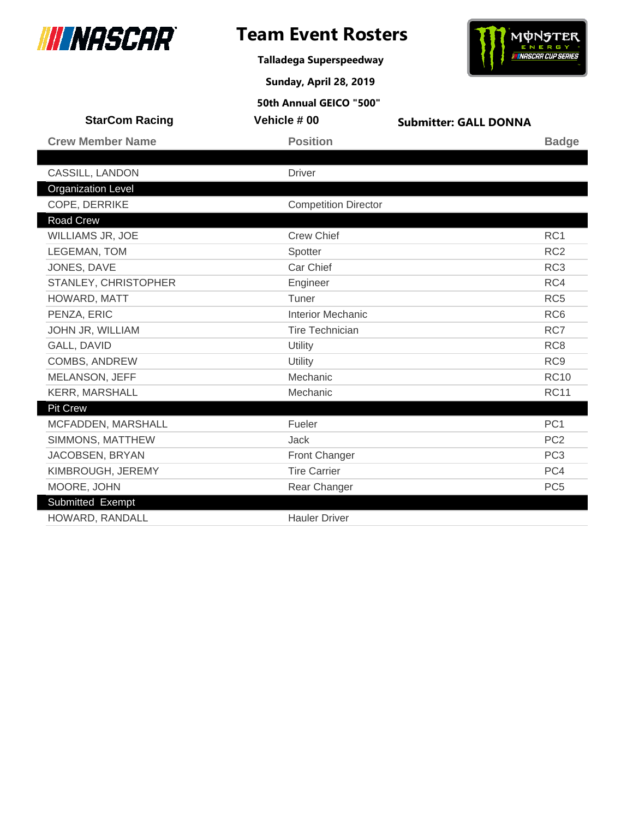

# **Team Event Rosters**

**Talladega Superspeedway**

**Sunday, April 28, 2019**

# NUNSTER

| 50th Annual GEICO "500"   |                             |                              |                 |
|---------------------------|-----------------------------|------------------------------|-----------------|
| <b>StarCom Racing</b>     | Vehicle #00                 | <b>Submitter: GALL DONNA</b> |                 |
| <b>Crew Member Name</b>   | <b>Position</b>             |                              | <b>Badge</b>    |
|                           |                             |                              |                 |
| CASSILL, LANDON           | <b>Driver</b>               |                              |                 |
| <b>Organization Level</b> |                             |                              |                 |
| COPE, DERRIKE             | <b>Competition Director</b> |                              |                 |
| <b>Road Crew</b>          |                             |                              |                 |
| <b>WILLIAMS JR, JOE</b>   | <b>Crew Chief</b>           |                              | RC <sub>1</sub> |
| LEGEMAN, TOM              | Spotter                     |                              | RC <sub>2</sub> |
| JONES, DAVE               | Car Chief                   |                              | RC <sub>3</sub> |
| STANLEY, CHRISTOPHER      | Engineer                    |                              | RC4             |
| HOWARD, MATT              | Tuner                       |                              | RC <sub>5</sub> |
| PENZA, ERIC               | <b>Interior Mechanic</b>    |                              | RC <sub>6</sub> |
| JOHN JR, WILLIAM          | <b>Tire Technician</b>      |                              | RC7             |
| GALL, DAVID               | Utility                     |                              | RC <sub>8</sub> |
| <b>COMBS, ANDREW</b>      | Utility                     |                              | RC <sub>9</sub> |
| MELANSON, JEFF            | Mechanic                    |                              | <b>RC10</b>     |
| <b>KERR, MARSHALL</b>     | Mechanic                    |                              | <b>RC11</b>     |
| <b>Pit Crew</b>           |                             |                              |                 |
| MCFADDEN, MARSHALL        | Fueler                      |                              | PC <sub>1</sub> |
| SIMMONS, MATTHEW          | <b>Jack</b>                 |                              | PC <sub>2</sub> |
| JACOBSEN, BRYAN           | <b>Front Changer</b>        |                              | PC <sub>3</sub> |
| KIMBROUGH, JEREMY         | <b>Tire Carrier</b>         |                              | PC4             |
| MOORE, JOHN               | Rear Changer                |                              | PC <sub>5</sub> |
| Submitted Exempt          |                             |                              |                 |
| HOWARD, RANDALL           | <b>Hauler Driver</b>        |                              |                 |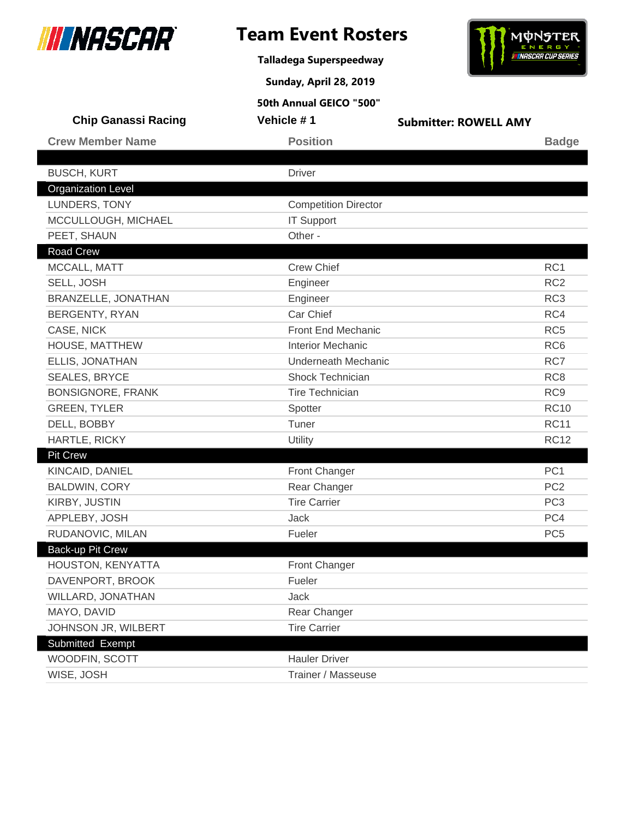

**Talladega Superspeedway**

**Sunday, April 28, 2019**



| <b>Chip Ganassi Racing</b> | Vehicle #1                  | <b>Submitter: ROWELL AMY</b> |                 |
|----------------------------|-----------------------------|------------------------------|-----------------|
| <b>Crew Member Name</b>    | <b>Position</b>             |                              | <b>Badge</b>    |
|                            |                             |                              |                 |
| <b>BUSCH, KURT</b>         | <b>Driver</b>               |                              |                 |
| <b>Organization Level</b>  |                             |                              |                 |
| LUNDERS, TONY              | <b>Competition Director</b> |                              |                 |
| MCCULLOUGH, MICHAEL        | <b>IT Support</b>           |                              |                 |
| PEET, SHAUN                | Other -                     |                              |                 |
| Road Crew                  |                             |                              |                 |
| MCCALL, MATT               | <b>Crew Chief</b>           |                              | RC1             |
| SELL, JOSH                 | Engineer                    |                              | RC <sub>2</sub> |
| <b>BRANZELLE, JONATHAN</b> | Engineer                    |                              | RC <sub>3</sub> |
| <b>BERGENTY, RYAN</b>      | Car Chief                   |                              | RC4             |
| CASE, NICK                 | <b>Front End Mechanic</b>   |                              | RC <sub>5</sub> |
| HOUSE, MATTHEW             | <b>Interior Mechanic</b>    |                              | RC <sub>6</sub> |
| ELLIS, JONATHAN            | <b>Underneath Mechanic</b>  |                              | RC7             |
| <b>SEALES, BRYCE</b>       | Shock Technician            |                              | RC <sub>8</sub> |
| <b>BONSIGNORE, FRANK</b>   | <b>Tire Technician</b>      |                              | RC <sub>9</sub> |
| <b>GREEN, TYLER</b>        | Spotter                     |                              | <b>RC10</b>     |
| DELL, BOBBY                | Tuner                       |                              | <b>RC11</b>     |
| HARTLE, RICKY              | Utility                     |                              | <b>RC12</b>     |
| <b>Pit Crew</b>            |                             |                              |                 |
| KINCAID, DANIEL            | <b>Front Changer</b>        |                              | PC <sub>1</sub> |
| <b>BALDWIN, CORY</b>       | Rear Changer                |                              | PC <sub>2</sub> |
| KIRBY, JUSTIN              | <b>Tire Carrier</b>         |                              | PC <sub>3</sub> |
| APPLEBY, JOSH              | <b>Jack</b>                 |                              | PC4             |
| RUDANOVIC, MILAN           | Fueler                      |                              | PC <sub>5</sub> |
| Back-up Pit Crew           |                             |                              |                 |
| HOUSTON, KENYATTA          | Front Changer               |                              |                 |
| DAVENPORT, BROOK           | Fueler                      |                              |                 |
| WILLARD, JONATHAN          | Jack                        |                              |                 |
| MAYO, DAVID                | Rear Changer                |                              |                 |
| JOHNSON JR, WILBERT        | <b>Tire Carrier</b>         |                              |                 |
| Submitted Exempt           |                             |                              |                 |
| WOODFIN, SCOTT             | <b>Hauler Driver</b>        |                              |                 |
| WISE, JOSH                 | Trainer / Masseuse          |                              |                 |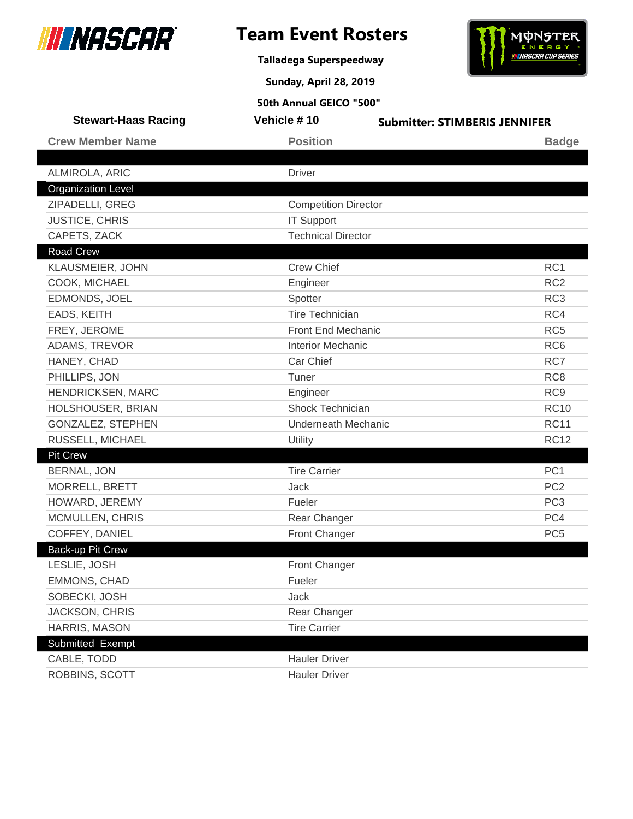

**Talladega Superspeedway**



**Sunday, April 28, 2019**

| <b>Stewart-Haas Racing</b> | Vehicle #10                 | <b>Submitter: STIMBERIS JENNIFER</b> |
|----------------------------|-----------------------------|--------------------------------------|
| <b>Crew Member Name</b>    | <b>Position</b>             | <b>Badge</b>                         |
|                            |                             |                                      |
| ALMIROLA, ARIC             | <b>Driver</b>               |                                      |
| <b>Organization Level</b>  |                             |                                      |
| ZIPADELLI, GREG            | <b>Competition Director</b> |                                      |
| <b>JUSTICE, CHRIS</b>      | <b>IT Support</b>           |                                      |
| CAPETS, ZACK               | <b>Technical Director</b>   |                                      |
| <b>Road Crew</b>           |                             |                                      |
| KLAUSMEIER, JOHN           | <b>Crew Chief</b>           | RC <sub>1</sub>                      |
| COOK, MICHAEL              | Engineer                    | RC <sub>2</sub>                      |
| EDMONDS, JOEL              | Spotter                     | RC <sub>3</sub>                      |
| EADS, KEITH                | <b>Tire Technician</b>      | RC4                                  |
| FREY, JEROME               | <b>Front End Mechanic</b>   | RC <sub>5</sub>                      |
| ADAMS, TREVOR              | <b>Interior Mechanic</b>    | RC <sub>6</sub>                      |
| HANEY, CHAD                | Car Chief                   | RC7                                  |
| PHILLIPS, JON              | Tuner                       | RC <sub>8</sub>                      |
| HENDRICKSEN, MARC          | Engineer                    | RC <sub>9</sub>                      |
| HOLSHOUSER, BRIAN          | Shock Technician            | <b>RC10</b>                          |
| GONZALEZ, STEPHEN          | Underneath Mechanic         | <b>RC11</b>                          |
| RUSSELL, MICHAEL           | Utility                     | <b>RC12</b>                          |
| <b>Pit Crew</b>            |                             |                                      |
| <b>BERNAL, JON</b>         | <b>Tire Carrier</b>         | PC <sub>1</sub>                      |
| MORRELL, BRETT             | Jack                        | PC <sub>2</sub>                      |
| HOWARD, JEREMY             | Fueler                      | PC <sub>3</sub>                      |
| MCMULLEN, CHRIS            | Rear Changer                | PC4                                  |
| COFFEY, DANIEL             | Front Changer               | PC <sub>5</sub>                      |
| <b>Back-up Pit Crew</b>    |                             |                                      |
| LESLIE, JOSH               | Front Changer               |                                      |
| EMMONS, CHAD               | Fueler                      |                                      |
| SOBECKI, JOSH              | Jack                        |                                      |
| JACKSON, CHRIS             | Rear Changer                |                                      |
| HARRIS, MASON              | <b>Tire Carrier</b>         |                                      |
| Submitted Exempt           |                             |                                      |
| CABLE, TODD                | <b>Hauler Driver</b>        |                                      |
| ROBBINS, SCOTT             | <b>Hauler Driver</b>        |                                      |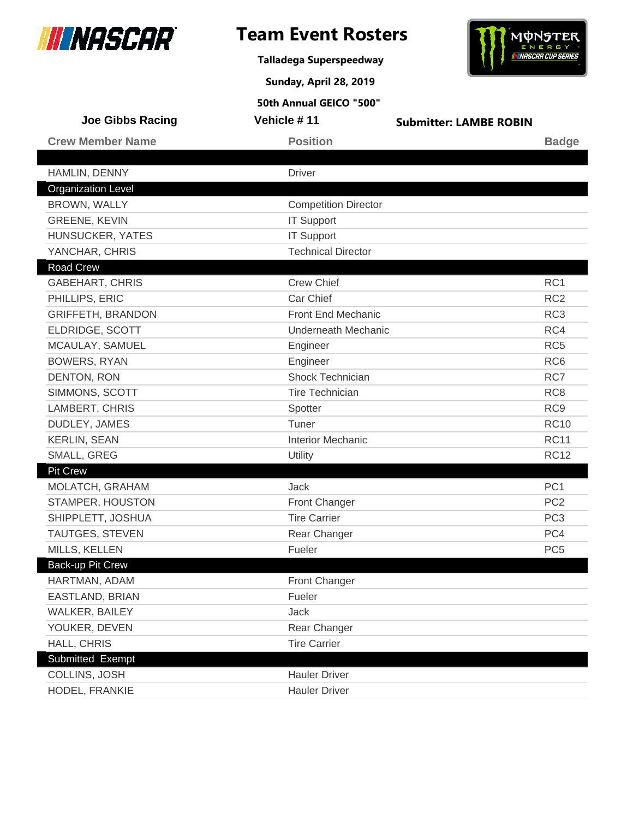

**Talladega Superspeedway**

**Sunday, April 28, 2019**



| <b>Joe Gibbs Racing</b>   | Vehicle #11                 | <b>Submitter: LAMBE ROBIN</b> |                 |
|---------------------------|-----------------------------|-------------------------------|-----------------|
| <b>Crew Member Name</b>   | <b>Position</b>             |                               | <b>Badge</b>    |
|                           |                             |                               |                 |
| HAMLIN, DENNY             | <b>Driver</b>               |                               |                 |
| <b>Organization Level</b> |                             |                               |                 |
| BROWN, WALLY              | <b>Competition Director</b> |                               |                 |
| <b>GREENE, KEVIN</b>      | <b>IT Support</b>           |                               |                 |
| HUNSUCKER, YATES          | <b>IT Support</b>           |                               |                 |
| YANCHAR, CHRIS            | <b>Technical Director</b>   |                               |                 |
| <b>Road Crew</b>          |                             |                               |                 |
| <b>GABEHART, CHRIS</b>    | <b>Crew Chief</b>           |                               | RC <sub>1</sub> |
| PHILLIPS, ERIC            | Car Chief                   |                               | RC <sub>2</sub> |
| <b>GRIFFETH, BRANDON</b>  | Front End Mechanic          |                               | RC <sub>3</sub> |
| ELDRIDGE, SCOTT           | <b>Underneath Mechanic</b>  |                               | RC4             |
| MCAULAY, SAMUEL           | Engineer                    |                               | RC <sub>5</sub> |
| <b>BOWERS, RYAN</b>       | Engineer                    |                               | RC <sub>6</sub> |
| DENTON, RON               | Shock Technician            |                               | RC7             |
| SIMMONS, SCOTT            | <b>Tire Technician</b>      |                               | RC <sub>8</sub> |
| LAMBERT, CHRIS            | Spotter                     |                               | RC <sub>9</sub> |
| DUDLEY, JAMES             | Tuner                       |                               | <b>RC10</b>     |
| <b>KERLIN, SEAN</b>       | <b>Interior Mechanic</b>    |                               | <b>RC11</b>     |
| SMALL, GREG               | Utility                     |                               | <b>RC12</b>     |
| <b>Pit Crew</b>           |                             |                               |                 |
| MOLATCH, GRAHAM           | Jack                        |                               | PC <sub>1</sub> |
| STAMPER, HOUSTON          | Front Changer               |                               | PC <sub>2</sub> |
| SHIPPLETT, JOSHUA         | <b>Tire Carrier</b>         |                               | PC <sub>3</sub> |
| TAUTGES, STEVEN           | Rear Changer                |                               | PC4             |
| MILLS, KELLEN             | Fueler                      |                               | PC <sub>5</sub> |
| Back-up Pit Crew          |                             |                               |                 |
| HARTMAN, ADAM             | <b>Front Changer</b>        |                               |                 |
| EASTLAND, BRIAN           | Fueler                      |                               |                 |
| WALKER, BAILEY            | Jack                        |                               |                 |
| YOUKER, DEVEN             | Rear Changer                |                               |                 |
| HALL, CHRIS               | <b>Tire Carrier</b>         |                               |                 |
| Submitted Exempt          |                             |                               |                 |
| COLLINS, JOSH             | <b>Hauler Driver</b>        |                               |                 |
| HODEL, FRANKIE            | <b>Hauler Driver</b>        |                               |                 |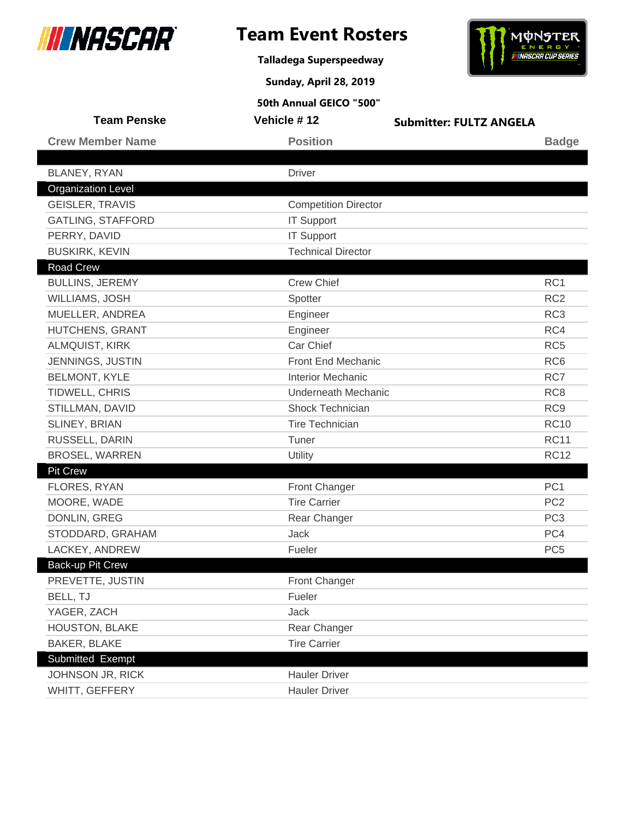

**Talladega Superspeedway**

**Sunday, April 28, 2019**



| <b>Team Penske</b>        | Vehicle #12                 | <b>Submitter: FULTZ ANGELA</b> |                 |
|---------------------------|-----------------------------|--------------------------------|-----------------|
| <b>Crew Member Name</b>   | <b>Position</b>             |                                | <b>Badge</b>    |
|                           |                             |                                |                 |
| BLANEY, RYAN              | <b>Driver</b>               |                                |                 |
| <b>Organization Level</b> |                             |                                |                 |
| <b>GEISLER, TRAVIS</b>    | <b>Competition Director</b> |                                |                 |
| <b>GATLING, STAFFORD</b>  | <b>IT Support</b>           |                                |                 |
| PERRY, DAVID              | <b>IT Support</b>           |                                |                 |
| <b>BUSKIRK, KEVIN</b>     | <b>Technical Director</b>   |                                |                 |
| <b>Road Crew</b>          |                             |                                |                 |
| <b>BULLINS, JEREMY</b>    | <b>Crew Chief</b>           |                                | RC1             |
| WILLIAMS, JOSH            | Spotter                     |                                | RC <sub>2</sub> |
| MUELLER, ANDREA           | Engineer                    |                                | RC <sub>3</sub> |
| HUTCHENS, GRANT           | Engineer                    |                                | RC4             |
| ALMQUIST, KIRK            | Car Chief                   |                                | RC <sub>5</sub> |
| JENNINGS, JUSTIN          | Front End Mechanic          |                                | RC <sub>6</sub> |
| <b>BELMONT, KYLE</b>      | <b>Interior Mechanic</b>    |                                | RC7             |
| TIDWELL, CHRIS            | <b>Underneath Mechanic</b>  |                                | RC <sub>8</sub> |
| STILLMAN, DAVID           | Shock Technician            |                                | RC <sub>9</sub> |
| SLINEY, BRIAN             | <b>Tire Technician</b>      |                                | <b>RC10</b>     |
| RUSSELL, DARIN            | Tuner                       |                                | <b>RC11</b>     |
| <b>BROSEL, WARREN</b>     | <b>Utility</b>              |                                | <b>RC12</b>     |
| Pit Crew                  |                             |                                |                 |
| FLORES, RYAN              | Front Changer               |                                | PC <sub>1</sub> |
| MOORE, WADE               | <b>Tire Carrier</b>         |                                | PC <sub>2</sub> |
| DONLIN, GREG              | Rear Changer                |                                | PC <sub>3</sub> |
| STODDARD, GRAHAM          | Jack                        |                                | PC4             |
| LACKEY, ANDREW            | Fueler                      |                                | PC <sub>5</sub> |
| <b>Back-up Pit Crew</b>   |                             |                                |                 |
| PREVETTE, JUSTIN          | <b>Front Changer</b>        |                                |                 |
| BELL, TJ                  | Fueler                      |                                |                 |
| YAGER, ZACH               | Jack                        |                                |                 |
| HOUSTON, BLAKE            | Rear Changer                |                                |                 |
| <b>BAKER, BLAKE</b>       | <b>Tire Carrier</b>         |                                |                 |
| Submitted Exempt          |                             |                                |                 |
| JOHNSON JR, RICK          | <b>Hauler Driver</b>        |                                |                 |
| WHITT, GEFFERY            | <b>Hauler Driver</b>        |                                |                 |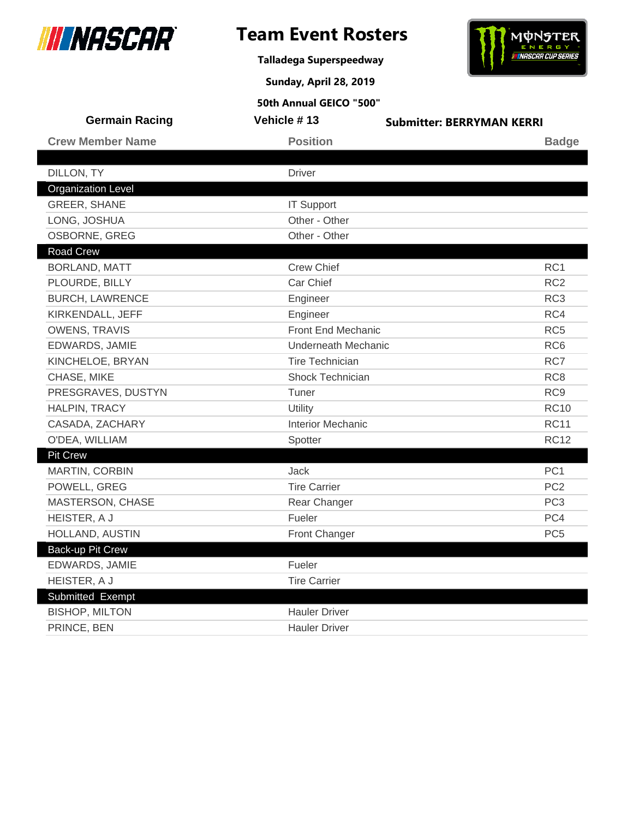

**Talladega Superspeedway**

**Sunday, April 28, 2019**



| <b>Germain Racing</b>     | Vehicle #13                | <b>Submitter: BERRYMAN KERRI</b> |
|---------------------------|----------------------------|----------------------------------|
| <b>Crew Member Name</b>   | <b>Position</b>            | <b>Badge</b>                     |
|                           |                            |                                  |
| DILLON, TY                | <b>Driver</b>              |                                  |
| <b>Organization Level</b> |                            |                                  |
| <b>GREER, SHANE</b>       | <b>IT Support</b>          |                                  |
| LONG, JOSHUA              | Other - Other              |                                  |
| <b>OSBORNE, GREG</b>      | Other - Other              |                                  |
| <b>Road Crew</b>          |                            |                                  |
| <b>BORLAND, MATT</b>      | <b>Crew Chief</b>          | RC <sub>1</sub>                  |
| PLOURDE, BILLY            | Car Chief                  | RC <sub>2</sub>                  |
| <b>BURCH, LAWRENCE</b>    | Engineer                   | RC <sub>3</sub>                  |
| KIRKENDALL, JEFF          | Engineer                   | RC4                              |
| <b>OWENS, TRAVIS</b>      | Front End Mechanic         | RC <sub>5</sub>                  |
| EDWARDS, JAMIE            | <b>Underneath Mechanic</b> | RC <sub>6</sub>                  |
| KINCHELOE, BRYAN          | <b>Tire Technician</b>     | RC7                              |
| CHASE, MIKE               | Shock Technician           | RC <sub>8</sub>                  |
| PRESGRAVES, DUSTYN        | Tuner                      | RC <sub>9</sub>                  |
| HALPIN, TRACY             | Utility                    | <b>RC10</b>                      |
| CASADA, ZACHARY           | <b>Interior Mechanic</b>   | <b>RC11</b>                      |
| O'DEA, WILLIAM            | Spotter                    | <b>RC12</b>                      |
| <b>Pit Crew</b>           |                            |                                  |
| <b>MARTIN, CORBIN</b>     | Jack                       | PC <sub>1</sub>                  |
| POWELL, GREG              | <b>Tire Carrier</b>        | PC <sub>2</sub>                  |
| MASTERSON, CHASE          | Rear Changer               | PC <sub>3</sub>                  |
| HEISTER, A J              | Fueler                     | PC4                              |
| HOLLAND, AUSTIN           | Front Changer              | PC <sub>5</sub>                  |
| Back-up Pit Crew          |                            |                                  |
| EDWARDS, JAMIE            | Fueler                     |                                  |
| HEISTER, A J              | <b>Tire Carrier</b>        |                                  |
| Submitted Exempt          |                            |                                  |
| <b>BISHOP, MILTON</b>     | <b>Hauler Driver</b>       |                                  |
| PRINCE, BEN               | <b>Hauler Driver</b>       |                                  |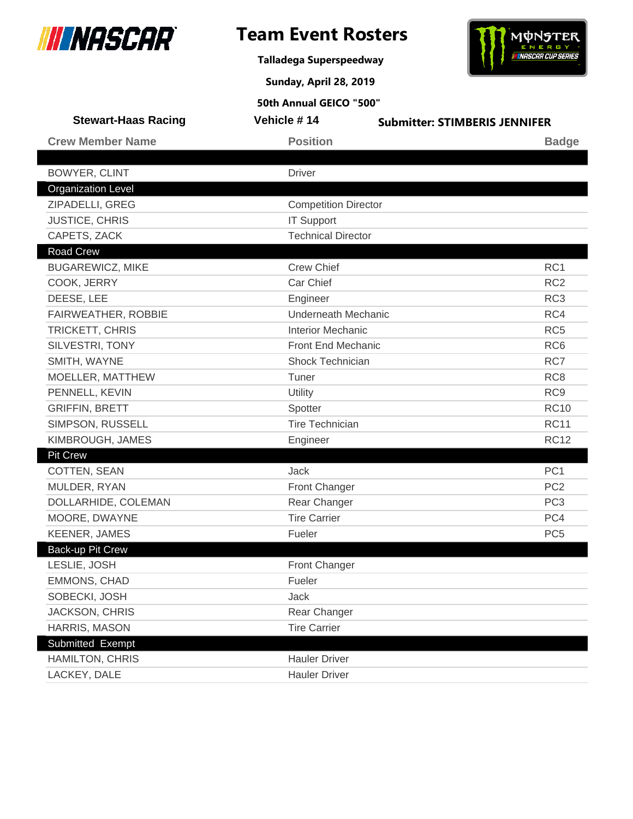

**Talladega Superspeedway**



**Sunday, April 28, 2019**

| <b>Stewart-Haas Racing</b> | Vehicle #14                 | <b>Submitter: STIMBERIS JENNIFER</b> |
|----------------------------|-----------------------------|--------------------------------------|
| <b>Crew Member Name</b>    | <b>Position</b>             | <b>Badge</b>                         |
|                            |                             |                                      |
| <b>BOWYER, CLINT</b>       | <b>Driver</b>               |                                      |
| <b>Organization Level</b>  |                             |                                      |
| ZIPADELLI, GREG            | <b>Competition Director</b> |                                      |
| <b>JUSTICE, CHRIS</b>      | <b>IT Support</b>           |                                      |
| CAPETS, ZACK               | <b>Technical Director</b>   |                                      |
| <b>Road Crew</b>           |                             |                                      |
| <b>BUGAREWICZ, MIKE</b>    | <b>Crew Chief</b>           | RC1                                  |
| COOK, JERRY                | Car Chief                   | RC <sub>2</sub>                      |
| DEESE, LEE                 | Engineer                    | RC <sub>3</sub>                      |
| FAIRWEATHER, ROBBIE        | <b>Underneath Mechanic</b>  | RC4                                  |
| TRICKETT, CHRIS            | <b>Interior Mechanic</b>    | RC <sub>5</sub>                      |
| SILVESTRI, TONY            | <b>Front End Mechanic</b>   | RC <sub>6</sub>                      |
| SMITH, WAYNE               | Shock Technician            | RC7                                  |
| MOELLER, MATTHEW           | Tuner                       | RC <sub>8</sub>                      |
| PENNELL, KEVIN             | Utility                     | RC <sub>9</sub>                      |
| <b>GRIFFIN, BRETT</b>      | Spotter                     | <b>RC10</b>                          |
| SIMPSON, RUSSELL           | <b>Tire Technician</b>      | <b>RC11</b>                          |
| KIMBROUGH, JAMES           | Engineer                    | <b>RC12</b>                          |
| <b>Pit Crew</b>            |                             |                                      |
| <b>COTTEN, SEAN</b>        | Jack                        | PC <sub>1</sub>                      |
| MULDER, RYAN               | Front Changer               | PC <sub>2</sub>                      |
| DOLLARHIDE, COLEMAN        | Rear Changer                | PC <sub>3</sub>                      |
| MOORE, DWAYNE              | <b>Tire Carrier</b>         | PC4                                  |
| <b>KEENER, JAMES</b>       | Fueler                      | PC <sub>5</sub>                      |
| Back-up Pit Crew           |                             |                                      |
| LESLIE, JOSH               | <b>Front Changer</b>        |                                      |
| <b>EMMONS, CHAD</b>        | Fueler                      |                                      |
| SOBECKI, JOSH              | Jack                        |                                      |
| JACKSON, CHRIS             | Rear Changer                |                                      |
| HARRIS, MASON              | <b>Tire Carrier</b>         |                                      |
| Submitted Exempt           |                             |                                      |
| <b>HAMILTON, CHRIS</b>     | <b>Hauler Driver</b>        |                                      |
| LACKEY, DALE               | <b>Hauler Driver</b>        |                                      |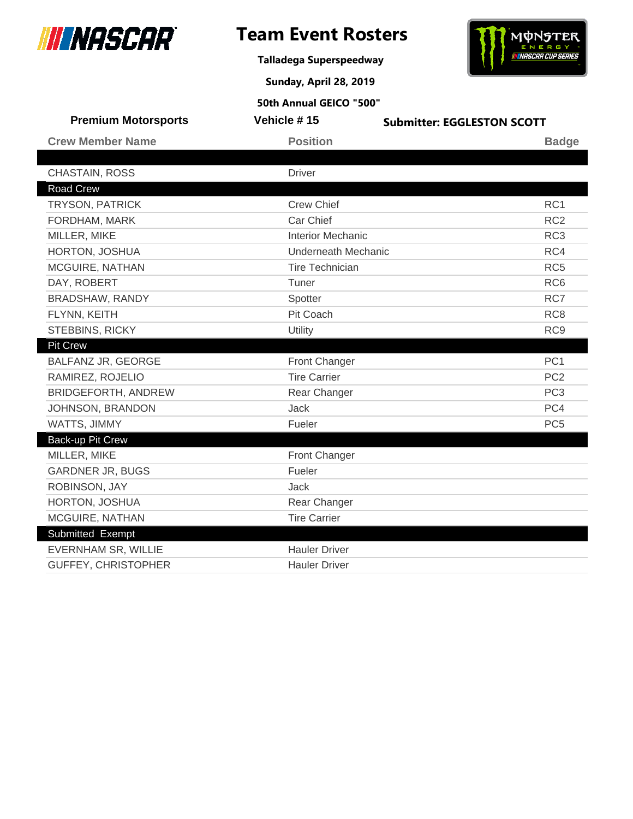

**Talladega Superspeedway**





**Sunday, April 28, 2019**

| <b>Premium Motorsports</b> | Vehicle #15                | <b>Submitter: EGGLESTON SCOTT</b> |
|----------------------------|----------------------------|-----------------------------------|
| <b>Crew Member Name</b>    | <b>Position</b>            | <b>Badge</b>                      |
|                            |                            |                                   |
| CHASTAIN, ROSS             | <b>Driver</b>              |                                   |
| <b>Road Crew</b>           |                            |                                   |
| <b>TRYSON, PATRICK</b>     | <b>Crew Chief</b>          | RC <sub>1</sub>                   |
| FORDHAM, MARK              | Car Chief                  | RC <sub>2</sub>                   |
| MILLER, MIKE               | <b>Interior Mechanic</b>   | RC <sub>3</sub>                   |
| HORTON, JOSHUA             | <b>Underneath Mechanic</b> | RC4                               |
| MCGUIRE, NATHAN            | <b>Tire Technician</b>     | RC <sub>5</sub>                   |
| DAY, ROBERT                | Tuner                      | RC <sub>6</sub>                   |
| BRADSHAW, RANDY            | Spotter                    | RC7                               |
| FLYNN, KEITH               | Pit Coach                  | RC <sub>8</sub>                   |
| STEBBINS, RICKY            | Utility                    | RC <sub>9</sub>                   |
| <b>Pit Crew</b>            |                            |                                   |
| BALFANZ JR, GEORGE         | Front Changer              | PC <sub>1</sub>                   |
| RAMIREZ, ROJELIO           | <b>Tire Carrier</b>        | PC <sub>2</sub>                   |
| <b>BRIDGEFORTH, ANDREW</b> | Rear Changer               | PC <sub>3</sub>                   |
| JOHNSON, BRANDON           | <b>Jack</b>                | PC4                               |
| WATTS, JIMMY               | Fueler                     | PC <sub>5</sub>                   |
| Back-up Pit Crew           |                            |                                   |
| MILLER, MIKE               | Front Changer              |                                   |
| <b>GARDNER JR, BUGS</b>    | Fueler                     |                                   |
| ROBINSON, JAY              | Jack                       |                                   |
| HORTON, JOSHUA             | Rear Changer               |                                   |
| MCGUIRE, NATHAN            | <b>Tire Carrier</b>        |                                   |
| Submitted Exempt           |                            |                                   |
| EVERNHAM SR, WILLIE        | <b>Hauler Driver</b>       |                                   |
| GUFFEY, CHRISTOPHER        | <b>Hauler Driver</b>       |                                   |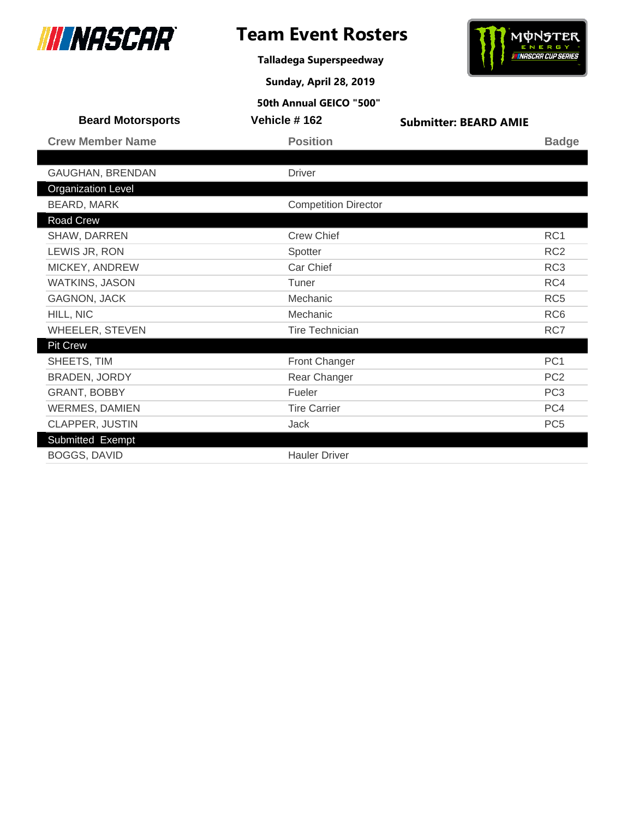

**Talladega Superspeedway**



**Sunday, April 28, 2019**

| <b>Beard Motorsports</b>  | Vehicle #162                | <b>Submitter: BEARD AMIE</b> |                 |
|---------------------------|-----------------------------|------------------------------|-----------------|
| <b>Crew Member Name</b>   | <b>Position</b>             |                              | <b>Badge</b>    |
|                           |                             |                              |                 |
| GAUGHAN, BRENDAN          | <b>Driver</b>               |                              |                 |
| <b>Organization Level</b> |                             |                              |                 |
| BEARD, MARK               | <b>Competition Director</b> |                              |                 |
| Road Crew                 |                             |                              |                 |
| SHAW, DARREN              | <b>Crew Chief</b>           |                              | RC1             |
| LEWIS JR, RON             | Spotter                     |                              | RC <sub>2</sub> |
| MICKEY, ANDREW            | Car Chief                   |                              | RC <sub>3</sub> |
| <b>WATKINS, JASON</b>     | Tuner                       |                              | RC4             |
| <b>GAGNON, JACK</b>       | Mechanic                    |                              | RC <sub>5</sub> |
| HILL, NIC                 | Mechanic                    |                              | RC <sub>6</sub> |
| WHEELER, STEVEN           | <b>Tire Technician</b>      |                              | RC7             |
| <b>Pit Crew</b>           |                             |                              |                 |
| SHEETS, TIM               | Front Changer               |                              | PC <sub>1</sub> |
| <b>BRADEN, JORDY</b>      | Rear Changer                |                              | PC <sub>2</sub> |
| GRANT, BOBBY              | Fueler                      |                              | PC <sub>3</sub> |
| <b>WERMES, DAMIEN</b>     | <b>Tire Carrier</b>         |                              | PC4             |
| CLAPPER, JUSTIN           | Jack                        |                              | PC <sub>5</sub> |
| Submitted Exempt          |                             |                              |                 |
| <b>BOGGS, DAVID</b>       | <b>Hauler Driver</b>        |                              |                 |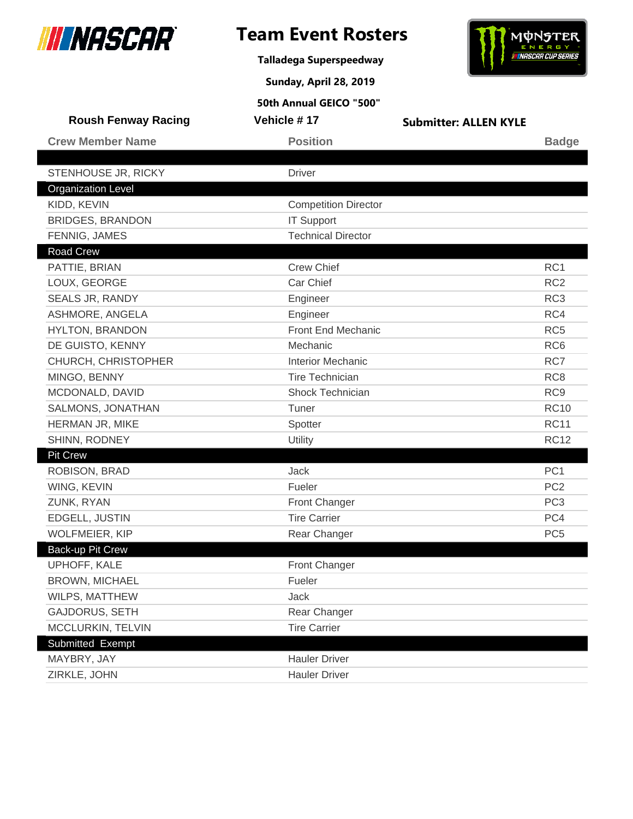

**Talladega Superspeedway**

**Sunday, April 28, 2019**



| <b>Roush Fenway Racing</b> | Vehicle #17                 | <b>Submitter: ALLEN KYLE</b> |                 |
|----------------------------|-----------------------------|------------------------------|-----------------|
| <b>Crew Member Name</b>    | <b>Position</b>             |                              | <b>Badge</b>    |
|                            |                             |                              |                 |
| STENHOUSE JR, RICKY        | <b>Driver</b>               |                              |                 |
| <b>Organization Level</b>  |                             |                              |                 |
| KIDD, KEVIN                | <b>Competition Director</b> |                              |                 |
| <b>BRIDGES, BRANDON</b>    | <b>IT Support</b>           |                              |                 |
| FENNIG, JAMES              | <b>Technical Director</b>   |                              |                 |
| Road Crew                  |                             |                              |                 |
| PATTIE, BRIAN              | <b>Crew Chief</b>           |                              | RC <sub>1</sub> |
| LOUX, GEORGE               | Car Chief                   |                              | RC <sub>2</sub> |
| SEALS JR, RANDY            | Engineer                    |                              | RC <sub>3</sub> |
| ASHMORE, ANGELA            | Engineer                    |                              | RC4             |
| HYLTON, BRANDON            | Front End Mechanic          |                              | RC <sub>5</sub> |
| DE GUISTO, KENNY           | Mechanic                    |                              | RC <sub>6</sub> |
| CHURCH, CHRISTOPHER        | <b>Interior Mechanic</b>    |                              | RC7             |
| MINGO, BENNY               | <b>Tire Technician</b>      |                              | RC <sub>8</sub> |
| MCDONALD, DAVID            | Shock Technician            |                              | RC <sub>9</sub> |
| SALMONS, JONATHAN          | Tuner                       |                              | <b>RC10</b>     |
| HERMAN JR, MIKE            | Spotter                     |                              | <b>RC11</b>     |
| SHINN, RODNEY              | Utility                     |                              | <b>RC12</b>     |
| <b>Pit Crew</b>            |                             |                              |                 |
| ROBISON, BRAD              | <b>Jack</b>                 |                              | PC <sub>1</sub> |
| WING, KEVIN                | Fueler                      |                              | PC <sub>2</sub> |
| ZUNK, RYAN                 | Front Changer               |                              | PC <sub>3</sub> |
| EDGELL, JUSTIN             | <b>Tire Carrier</b>         |                              | PC4             |
| <b>WOLFMEIER, KIP</b>      | Rear Changer                |                              | PC <sub>5</sub> |
| Back-up Pit Crew           |                             |                              |                 |
| UPHOFF, KALE               | Front Changer               |                              |                 |
| <b>BROWN, MICHAEL</b>      | Fueler                      |                              |                 |
| WILPS, MATTHEW             | <b>Jack</b>                 |                              |                 |
| GAJDORUS, SETH             | Rear Changer                |                              |                 |
| MCCLURKIN, TELVIN          | <b>Tire Carrier</b>         |                              |                 |
| Submitted Exempt           |                             |                              |                 |
| MAYBRY, JAY                | <b>Hauler Driver</b>        |                              |                 |
| ZIRKLE, JOHN               | <b>Hauler Driver</b>        |                              |                 |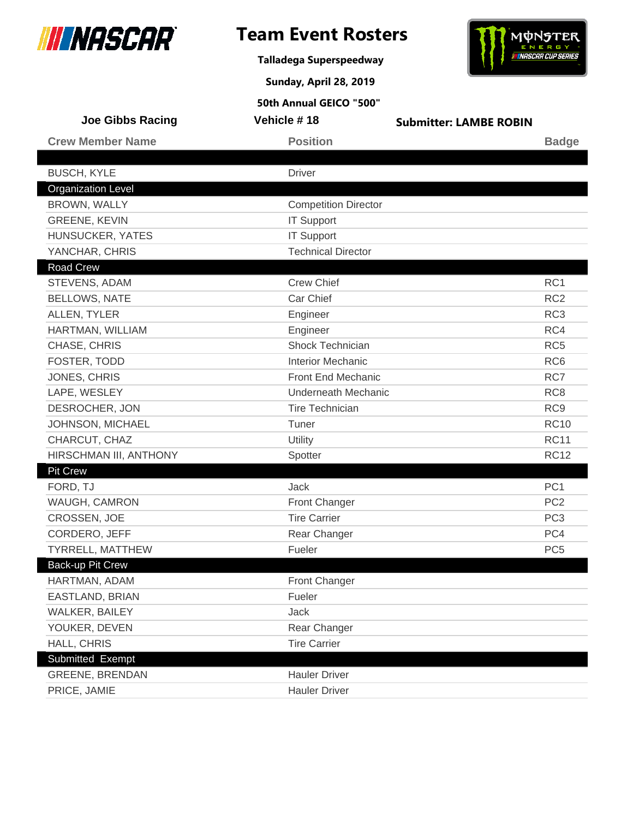

**Talladega Superspeedway**

**Sunday, April 28, 2019**



| <b>Joe Gibbs Racing</b>   | Vehicle #18                 | <b>Submitter: LAMBE ROBIN</b> |                 |
|---------------------------|-----------------------------|-------------------------------|-----------------|
| <b>Crew Member Name</b>   | <b>Position</b>             |                               | <b>Badge</b>    |
|                           |                             |                               |                 |
| <b>BUSCH, KYLE</b>        | <b>Driver</b>               |                               |                 |
| <b>Organization Level</b> |                             |                               |                 |
| BROWN, WALLY              | <b>Competition Director</b> |                               |                 |
| <b>GREENE, KEVIN</b>      | <b>IT Support</b>           |                               |                 |
| HUNSUCKER, YATES          | <b>IT Support</b>           |                               |                 |
| YANCHAR, CHRIS            | <b>Technical Director</b>   |                               |                 |
| <b>Road Crew</b>          |                             |                               |                 |
| STEVENS, ADAM             | <b>Crew Chief</b>           |                               | RC <sub>1</sub> |
| <b>BELLOWS, NATE</b>      | Car Chief                   |                               | RC <sub>2</sub> |
| ALLEN, TYLER              | Engineer                    |                               | RC <sub>3</sub> |
| HARTMAN, WILLIAM          | Engineer                    |                               | RC4             |
| CHASE, CHRIS              | <b>Shock Technician</b>     |                               | RC <sub>5</sub> |
| FOSTER, TODD              | <b>Interior Mechanic</b>    |                               | RC <sub>6</sub> |
| JONES, CHRIS              | Front End Mechanic          |                               | RC7             |
| LAPE, WESLEY              | <b>Underneath Mechanic</b>  |                               | RC <sub>8</sub> |
| DESROCHER, JON            | <b>Tire Technician</b>      |                               | RC <sub>9</sub> |
| JOHNSON, MICHAEL          | Tuner                       |                               | <b>RC10</b>     |
| CHARCUT, CHAZ             | Utility                     |                               | <b>RC11</b>     |
| HIRSCHMAN III, ANTHONY    | Spotter                     |                               | <b>RC12</b>     |
| <b>Pit Crew</b>           |                             |                               |                 |
| FORD, TJ                  | Jack                        |                               | PC <sub>1</sub> |
| WAUGH, CAMRON             | <b>Front Changer</b>        |                               | PC <sub>2</sub> |
| CROSSEN, JOE              | <b>Tire Carrier</b>         |                               | PC <sub>3</sub> |
| CORDERO, JEFF             | Rear Changer                |                               | PC4             |
| <b>TYRRELL, MATTHEW</b>   | Fueler                      |                               | PC <sub>5</sub> |
| <b>Back-up Pit Crew</b>   |                             |                               |                 |
| HARTMAN, ADAM             | Front Changer               |                               |                 |
| EASTLAND, BRIAN           | Fueler                      |                               |                 |
| WALKER, BAILEY            | Jack                        |                               |                 |
| YOUKER, DEVEN             | Rear Changer                |                               |                 |
| HALL, CHRIS               | <b>Tire Carrier</b>         |                               |                 |
| Submitted Exempt          |                             |                               |                 |
| <b>GREENE, BRENDAN</b>    | <b>Hauler Driver</b>        |                               |                 |
| PRICE, JAMIE              | <b>Hauler Driver</b>        |                               |                 |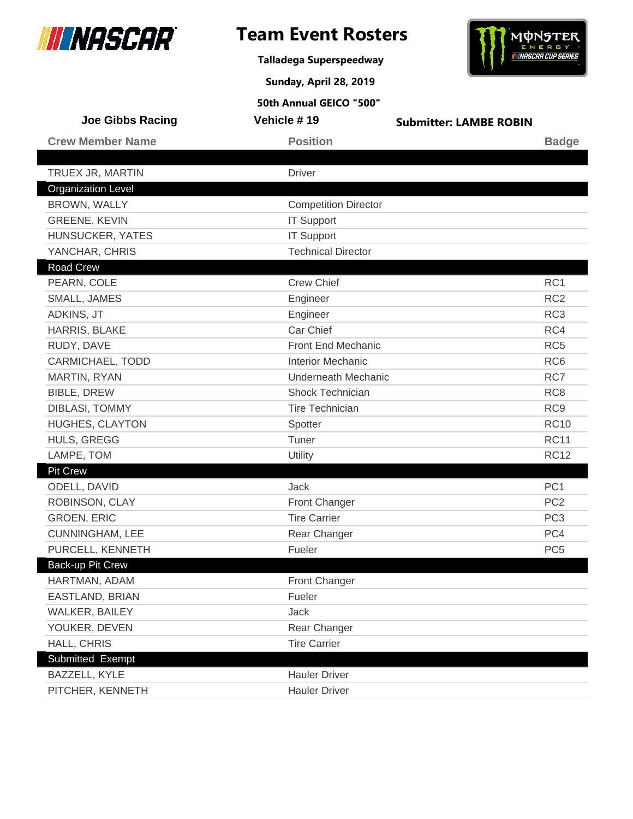

**Talladega Superspeedway**



**Sunday, April 28, 2019**

| <b>Joe Gibbs Racing</b>   | Vehicle #19                 | <b>Submitter: LAMBE ROBIN</b> |                 |
|---------------------------|-----------------------------|-------------------------------|-----------------|
| <b>Crew Member Name</b>   | <b>Position</b>             |                               | <b>Badge</b>    |
|                           |                             |                               |                 |
| TRUEX JR, MARTIN          | <b>Driver</b>               |                               |                 |
| <b>Organization Level</b> |                             |                               |                 |
| BROWN, WALLY              | <b>Competition Director</b> |                               |                 |
| <b>GREENE, KEVIN</b>      | <b>IT Support</b>           |                               |                 |
| HUNSUCKER, YATES          | <b>IT Support</b>           |                               |                 |
| YANCHAR, CHRIS            | <b>Technical Director</b>   |                               |                 |
| <b>Road Crew</b>          |                             |                               |                 |
| PEARN, COLE               | <b>Crew Chief</b>           |                               | RC1             |
| SMALL, JAMES              | Engineer                    |                               | RC <sub>2</sub> |
| ADKINS, JT                | Engineer                    |                               | RC <sub>3</sub> |
| HARRIS, BLAKE             | Car Chief                   |                               | RC4             |
| RUDY, DAVE                | Front End Mechanic          |                               | RC <sub>5</sub> |
| CARMICHAEL, TODD          | <b>Interior Mechanic</b>    |                               | RC <sub>6</sub> |
| <b>MARTIN, RYAN</b>       | Underneath Mechanic         |                               | RC7             |
| <b>BIBLE, DREW</b>        | Shock Technician            |                               | RC <sub>8</sub> |
| <b>DIBLASI, TOMMY</b>     | <b>Tire Technician</b>      |                               | RC <sub>9</sub> |
| <b>HUGHES, CLAYTON</b>    | Spotter                     |                               | <b>RC10</b>     |
| HULS, GREGG               | Tuner                       |                               | <b>RC11</b>     |
| LAMPE, TOM                | Utility                     |                               | <b>RC12</b>     |
| <b>Pit Crew</b>           |                             |                               |                 |
| ODELL, DAVID              | <b>Jack</b>                 |                               | PC <sub>1</sub> |
| ROBINSON, CLAY            | Front Changer               |                               | PC <sub>2</sub> |
| <b>GROEN, ERIC</b>        | <b>Tire Carrier</b>         |                               | PC <sub>3</sub> |
| <b>CUNNINGHAM, LEE</b>    | Rear Changer                |                               | PC4             |
| PURCELL, KENNETH          | Fueler                      |                               | PC <sub>5</sub> |
| <b>Back-up Pit Crew</b>   |                             |                               |                 |
| HARTMAN, ADAM             | Front Changer               |                               |                 |
| EASTLAND, BRIAN           | Fueler                      |                               |                 |
| WALKER, BAILEY            | Jack                        |                               |                 |
| YOUKER, DEVEN             | Rear Changer                |                               |                 |
| HALL, CHRIS               | <b>Tire Carrier</b>         |                               |                 |
| Submitted Exempt          |                             |                               |                 |
| BAZZELL, KYLE             | <b>Hauler Driver</b>        |                               |                 |
| PITCHER, KENNETH          | <b>Hauler Driver</b>        |                               |                 |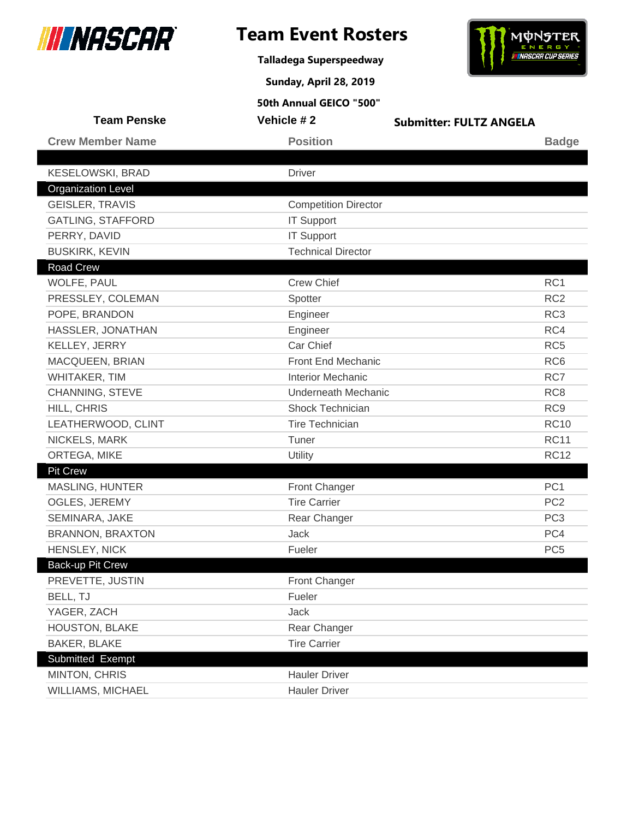

**Talladega Superspeedway**



**Sunday, April 28, 2019**

| <b>Team Penske</b>        | Vehicle #2                  | <b>Submitter: FULTZ ANGELA</b> |
|---------------------------|-----------------------------|--------------------------------|
| <b>Crew Member Name</b>   | <b>Position</b>             | <b>Badge</b>                   |
|                           |                             |                                |
| <b>KESELOWSKI, BRAD</b>   | <b>Driver</b>               |                                |
| <b>Organization Level</b> |                             |                                |
| <b>GEISLER, TRAVIS</b>    | <b>Competition Director</b> |                                |
| <b>GATLING, STAFFORD</b>  | <b>IT Support</b>           |                                |
| PERRY, DAVID              | <b>IT Support</b>           |                                |
| <b>BUSKIRK, KEVIN</b>     | <b>Technical Director</b>   |                                |
| Road Crew                 |                             |                                |
| WOLFE, PAUL               | <b>Crew Chief</b>           | RC1                            |
| PRESSLEY, COLEMAN         | Spotter                     | RC <sub>2</sub>                |
| POPE, BRANDON             | Engineer                    | RC <sub>3</sub>                |
| HASSLER, JONATHAN         | Engineer                    | RC4                            |
| KELLEY, JERRY             | Car Chief                   | RC <sub>5</sub>                |
| MACQUEEN, BRIAN           | Front End Mechanic          | RC <sub>6</sub>                |
| WHITAKER, TIM             | <b>Interior Mechanic</b>    | RC7                            |
| CHANNING, STEVE           | <b>Underneath Mechanic</b>  | RC <sub>8</sub>                |
| HILL, CHRIS               | <b>Shock Technician</b>     | RC <sub>9</sub>                |
| LEATHERWOOD, CLINT        | <b>Tire Technician</b>      | <b>RC10</b>                    |
| NICKELS, MARK             | Tuner                       | <b>RC11</b>                    |
| ORTEGA, MIKE              | Utility                     | <b>RC12</b>                    |
| Pit Crew                  |                             |                                |
| <b>MASLING, HUNTER</b>    | Front Changer               | PC <sub>1</sub>                |
| <b>OGLES, JEREMY</b>      | <b>Tire Carrier</b>         | PC <sub>2</sub>                |
| SEMINARA, JAKE            | Rear Changer                | PC <sub>3</sub>                |
| <b>BRANNON, BRAXTON</b>   | <b>Jack</b>                 | PC4                            |
| HENSLEY, NICK             | Fueler                      | PC <sub>5</sub>                |
| Back-up Pit Crew          |                             |                                |
| PREVETTE, JUSTIN          | Front Changer               |                                |
| BELL, TJ                  | Fueler                      |                                |
| YAGER, ZACH               | Jack                        |                                |
| HOUSTON, BLAKE            | Rear Changer                |                                |
| <b>BAKER, BLAKE</b>       | <b>Tire Carrier</b>         |                                |
| Submitted Exempt          |                             |                                |
| MINTON, CHRIS             | <b>Hauler Driver</b>        |                                |
| WILLIAMS, MICHAEL         | <b>Hauler Driver</b>        |                                |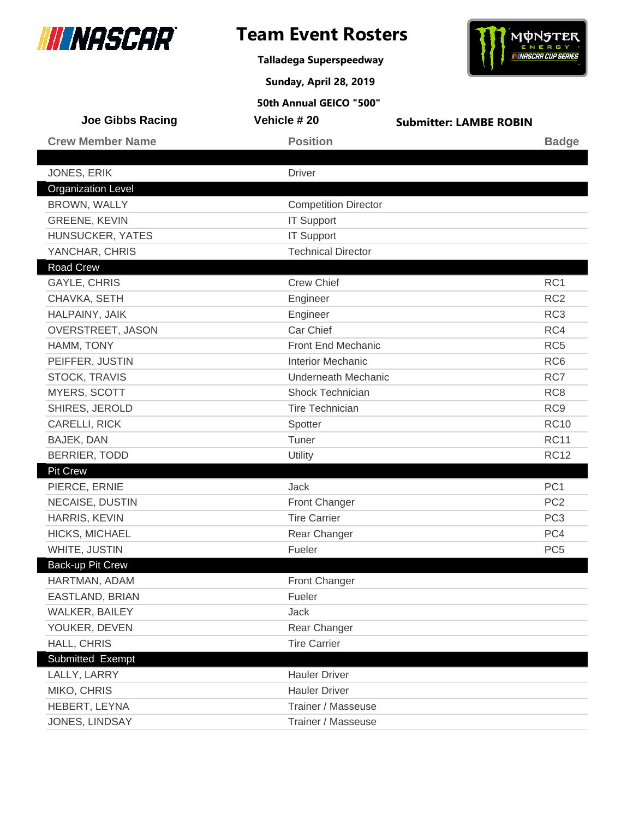

**Talladega Superspeedway**

**Sunday, April 28, 2019**



| <b>Joe Gibbs Racing</b>   | Vehicle #20                 | <b>Submitter: LAMBE ROBIN</b> |                 |
|---------------------------|-----------------------------|-------------------------------|-----------------|
| <b>Crew Member Name</b>   | <b>Position</b>             |                               | <b>Badge</b>    |
|                           |                             |                               |                 |
| JONES, ERIK               | <b>Driver</b>               |                               |                 |
| <b>Organization Level</b> |                             |                               |                 |
| BROWN, WALLY              | <b>Competition Director</b> |                               |                 |
| <b>GREENE, KEVIN</b>      | <b>IT Support</b>           |                               |                 |
| HUNSUCKER, YATES          | <b>IT Support</b>           |                               |                 |
| YANCHAR, CHRIS            | <b>Technical Director</b>   |                               |                 |
| <b>Road Crew</b>          |                             |                               |                 |
| <b>GAYLE, CHRIS</b>       | <b>Crew Chief</b>           |                               | RC1             |
| CHAVKA, SETH              | Engineer                    |                               | RC <sub>2</sub> |
| HALPAINY, JAIK            | Engineer                    |                               | RC <sub>3</sub> |
| OVERSTREET, JASON         | Car Chief                   |                               | RC4             |
| HAMM, TONY                | <b>Front End Mechanic</b>   |                               | RC <sub>5</sub> |
| PEIFFER, JUSTIN           | <b>Interior Mechanic</b>    |                               | RC <sub>6</sub> |
| <b>STOCK, TRAVIS</b>      | <b>Underneath Mechanic</b>  |                               | RC7             |
| MYERS, SCOTT              | Shock Technician            |                               | RC <sub>8</sub> |
| SHIRES, JEROLD            | <b>Tire Technician</b>      |                               | RC <sub>9</sub> |
| CARELLI, RICK             | Spotter                     |                               | <b>RC10</b>     |
| BAJEK, DAN                | Tuner                       |                               | <b>RC11</b>     |
| BERRIER, TODD             | Utility                     |                               | <b>RC12</b>     |
| <b>Pit Crew</b>           |                             |                               |                 |
| PIERCE, ERNIE             | Jack                        |                               | PC <sub>1</sub> |
| NECAISE, DUSTIN           | <b>Front Changer</b>        |                               | PC <sub>2</sub> |
| HARRIS, KEVIN             | <b>Tire Carrier</b>         |                               | PC <sub>3</sub> |
| HICKS, MICHAEL            | Rear Changer                |                               | PC4             |
| WHITE, JUSTIN             | Fueler                      |                               | PC <sub>5</sub> |
| Back-up Pit Crew          |                             |                               |                 |
| HARTMAN, ADAM             | <b>Front Changer</b>        |                               |                 |
| EASTLAND, BRIAN           | Fueler                      |                               |                 |
| WALKER, BAILEY            | Jack                        |                               |                 |
| YOUKER, DEVEN             | Rear Changer                |                               |                 |
| HALL, CHRIS               | <b>Tire Carrier</b>         |                               |                 |
| Submitted Exempt          |                             |                               |                 |
| LALLY, LARRY              | <b>Hauler Driver</b>        |                               |                 |
| MIKO, CHRIS               | <b>Hauler Driver</b>        |                               |                 |
| HEBERT, LEYNA             | Trainer / Masseuse          |                               |                 |
| JONES, LINDSAY            | Trainer / Masseuse          |                               |                 |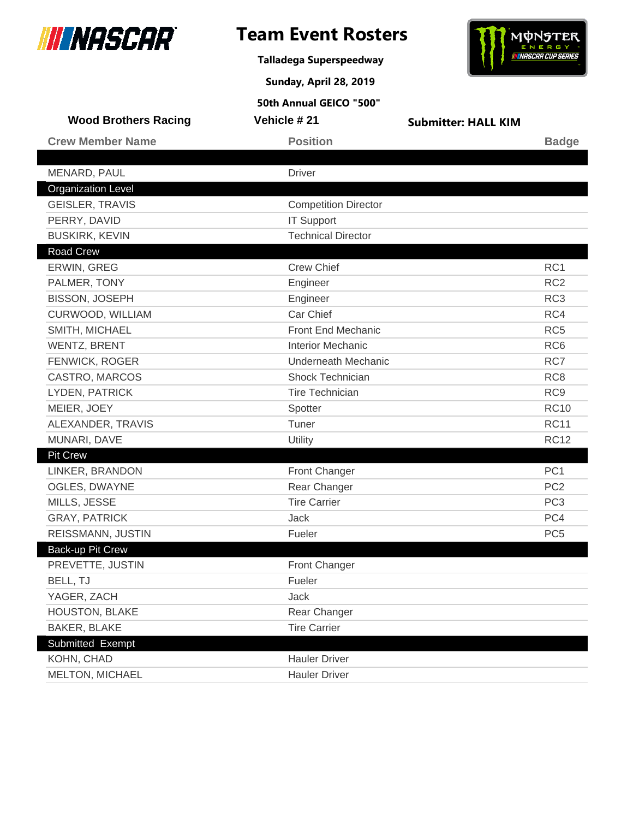

**Talladega Superspeedway**

**Sunday, April 28, 2019**



| <b>Wood Brothers Racing</b> | Vehicle #21                 | <b>Submitter: HALL KIM</b> |                 |
|-----------------------------|-----------------------------|----------------------------|-----------------|
| <b>Crew Member Name</b>     | <b>Position</b>             |                            | <b>Badge</b>    |
|                             |                             |                            |                 |
| MENARD, PAUL                | <b>Driver</b>               |                            |                 |
| <b>Organization Level</b>   |                             |                            |                 |
| <b>GEISLER, TRAVIS</b>      | <b>Competition Director</b> |                            |                 |
| PERRY, DAVID                | <b>IT Support</b>           |                            |                 |
| <b>BUSKIRK, KEVIN</b>       | <b>Technical Director</b>   |                            |                 |
| <b>Road Crew</b>            |                             |                            |                 |
| ERWIN, GREG                 | <b>Crew Chief</b>           |                            | RC1             |
| PALMER, TONY                | Engineer                    |                            | RC <sub>2</sub> |
| <b>BISSON, JOSEPH</b>       | Engineer                    |                            | RC <sub>3</sub> |
| CURWOOD, WILLIAM            | Car Chief                   |                            | RC4             |
| SMITH, MICHAEL              | <b>Front End Mechanic</b>   |                            | RC <sub>5</sub> |
| <b>WENTZ, BRENT</b>         | <b>Interior Mechanic</b>    |                            | RC <sub>6</sub> |
| FENWICK, ROGER              | <b>Underneath Mechanic</b>  |                            | RC7             |
| CASTRO, MARCOS              | Shock Technician            |                            | RC <sub>8</sub> |
| LYDEN, PATRICK              | <b>Tire Technician</b>      |                            | RC <sub>9</sub> |
| MEIER, JOEY                 | Spotter                     |                            | <b>RC10</b>     |
| ALEXANDER, TRAVIS           | Tuner                       |                            | <b>RC11</b>     |
| MUNARI, DAVE                | Utility                     |                            | <b>RC12</b>     |
| <b>Pit Crew</b>             |                             |                            |                 |
| LINKER, BRANDON             | Front Changer               |                            | PC <sub>1</sub> |
| OGLES, DWAYNE               | Rear Changer                |                            | PC <sub>2</sub> |
| MILLS, JESSE                | <b>Tire Carrier</b>         |                            | PC <sub>3</sub> |
| <b>GRAY, PATRICK</b>        | Jack                        |                            | PC4             |
| REISSMANN, JUSTIN           | Fueler                      |                            | PC <sub>5</sub> |
| <b>Back-up Pit Crew</b>     |                             |                            |                 |
| PREVETTE, JUSTIN            | <b>Front Changer</b>        |                            |                 |
| BELL, TJ                    | Fueler                      |                            |                 |
| YAGER, ZACH                 | Jack                        |                            |                 |
| HOUSTON, BLAKE              | Rear Changer                |                            |                 |
| <b>BAKER, BLAKE</b>         | <b>Tire Carrier</b>         |                            |                 |
| Submitted Exempt            |                             |                            |                 |
| KOHN, CHAD                  | <b>Hauler Driver</b>        |                            |                 |
| MELTON, MICHAEL             | <b>Hauler Driver</b>        |                            |                 |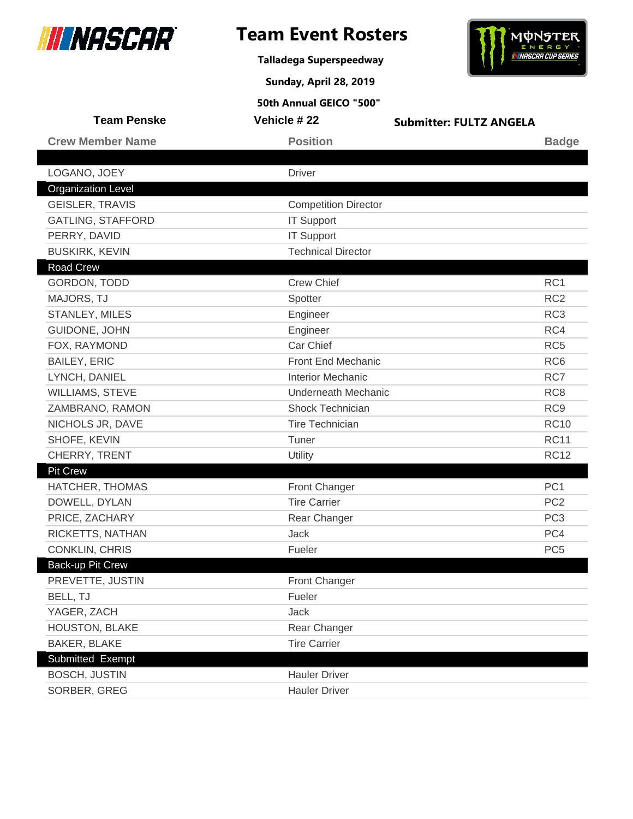

**Talladega Superspeedway**

**Sunday, April 28, 2019**



| <b>Team Penske</b>        | Vehicle # 22                | <b>Submitter: FULTZ ANGELA</b> |
|---------------------------|-----------------------------|--------------------------------|
| <b>Crew Member Name</b>   | <b>Position</b>             | <b>Badge</b>                   |
|                           |                             |                                |
| LOGANO, JOEY              | <b>Driver</b>               |                                |
| <b>Organization Level</b> |                             |                                |
| <b>GEISLER, TRAVIS</b>    | <b>Competition Director</b> |                                |
| <b>GATLING, STAFFORD</b>  | <b>IT Support</b>           |                                |
| PERRY, DAVID              | <b>IT Support</b>           |                                |
| <b>BUSKIRK, KEVIN</b>     | <b>Technical Director</b>   |                                |
| Road Crew                 |                             |                                |
| GORDON, TODD              | <b>Crew Chief</b>           | RC <sub>1</sub>                |
| MAJORS, TJ                | Spotter                     | RC <sub>2</sub>                |
| STANLEY, MILES            | Engineer                    | RC <sub>3</sub>                |
| GUIDONE, JOHN             | Engineer                    | RC4                            |
| FOX, RAYMOND              | Car Chief                   | RC <sub>5</sub>                |
| <b>BAILEY, ERIC</b>       | Front End Mechanic          | RC <sub>6</sub>                |
| LYNCH, DANIEL             | <b>Interior Mechanic</b>    | RC7                            |
| <b>WILLIAMS, STEVE</b>    | <b>Underneath Mechanic</b>  | RC <sub>8</sub>                |
| ZAMBRANO, RAMON           | Shock Technician            | RC <sub>9</sub>                |
| NICHOLS JR, DAVE          | <b>Tire Technician</b>      | <b>RC10</b>                    |
| SHOFE, KEVIN              | Tuner                       | <b>RC11</b>                    |
| CHERRY, TRENT             | <b>Utility</b>              | <b>RC12</b>                    |
| <b>Pit Crew</b>           |                             |                                |
| HATCHER, THOMAS           | Front Changer               | PC <sub>1</sub>                |
| DOWELL, DYLAN             | <b>Tire Carrier</b>         | PC <sub>2</sub>                |
| PRICE, ZACHARY            | Rear Changer                | PC <sub>3</sub>                |
| RICKETTS, NATHAN          | Jack                        | PC4                            |
| <b>CONKLIN, CHRIS</b>     | Fueler                      | PC <sub>5</sub>                |
| Back-up Pit Crew          |                             |                                |
| PREVETTE, JUSTIN          | Front Changer               |                                |
| BELL, TJ                  | Fueler                      |                                |
| YAGER, ZACH               | Jack                        |                                |
| HOUSTON, BLAKE            | Rear Changer                |                                |
| <b>BAKER, BLAKE</b>       | <b>Tire Carrier</b>         |                                |
| Submitted Exempt          |                             |                                |
| <b>BOSCH, JUSTIN</b>      | <b>Hauler Driver</b>        |                                |
| SORBER, GREG              | <b>Hauler Driver</b>        |                                |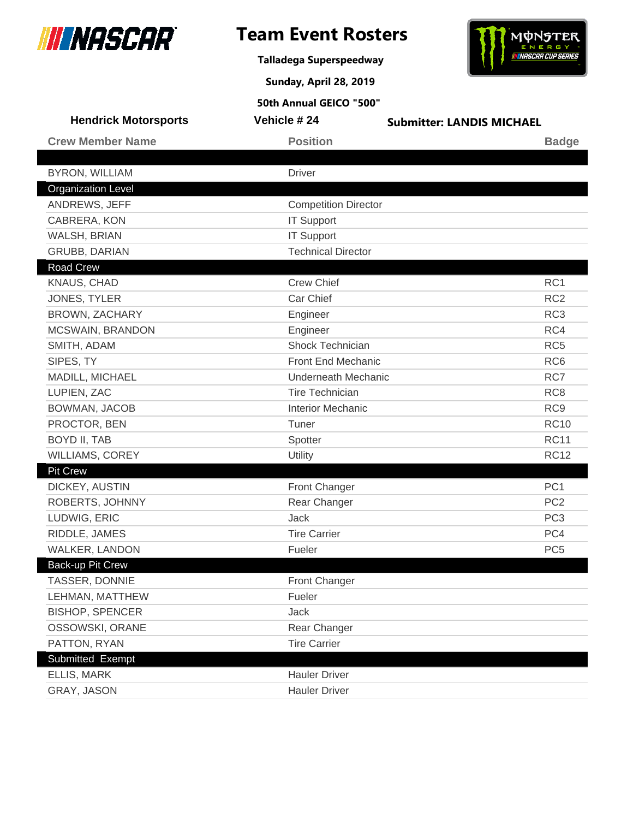

**Talladega Superspeedway**



**Sunday, April 28, 2019**

| <b>Hendrick Motorsports</b> | Vehicle #24                 | <b>Submitter: LANDIS MICHAEL</b> |
|-----------------------------|-----------------------------|----------------------------------|
| <b>Crew Member Name</b>     | <b>Position</b>             | <b>Badge</b>                     |
|                             |                             |                                  |
| <b>BYRON, WILLIAM</b>       | <b>Driver</b>               |                                  |
| <b>Organization Level</b>   |                             |                                  |
| ANDREWS, JEFF               | <b>Competition Director</b> |                                  |
| CABRERA, KON                | <b>IT Support</b>           |                                  |
| WALSH, BRIAN                | <b>IT Support</b>           |                                  |
| <b>GRUBB, DARIAN</b>        | <b>Technical Director</b>   |                                  |
| <b>Road Crew</b>            |                             |                                  |
| KNAUS, CHAD                 | <b>Crew Chief</b>           | RC1                              |
| JONES, TYLER                | Car Chief                   | RC <sub>2</sub>                  |
| <b>BROWN, ZACHARY</b>       | Engineer                    | RC <sub>3</sub>                  |
| MCSWAIN, BRANDON            | Engineer                    | RC4                              |
| SMITH, ADAM                 | Shock Technician            | RC <sub>5</sub>                  |
| SIPES, TY                   | Front End Mechanic          | RC <sub>6</sub>                  |
| MADILL, MICHAEL             | <b>Underneath Mechanic</b>  | RC7                              |
| LUPIEN, ZAC                 | <b>Tire Technician</b>      | RC <sub>8</sub>                  |
| BOWMAN, JACOB               | <b>Interior Mechanic</b>    | RC <sub>9</sub>                  |
| PROCTOR, BEN                | Tuner                       | <b>RC10</b>                      |
| <b>BOYD II, TAB</b>         | Spotter                     | <b>RC11</b>                      |
| <b>WILLIAMS, COREY</b>      | Utility                     | <b>RC12</b>                      |
| <b>Pit Crew</b>             |                             |                                  |
| DICKEY, AUSTIN              | <b>Front Changer</b>        | PC <sub>1</sub>                  |
| ROBERTS, JOHNNY             | Rear Changer                | PC <sub>2</sub>                  |
| LUDWIG, ERIC                | Jack                        | PC <sub>3</sub>                  |
| RIDDLE, JAMES               | <b>Tire Carrier</b>         | PC4                              |
| <b>WALKER, LANDON</b>       | Fueler                      | PC <sub>5</sub>                  |
| Back-up Pit Crew            |                             |                                  |
| TASSER, DONNIE              | <b>Front Changer</b>        |                                  |
| LEHMAN, MATTHEW             | Fueler                      |                                  |
| <b>BISHOP, SPENCER</b>      | Jack                        |                                  |
| OSSOWSKI, ORANE             | Rear Changer                |                                  |
| PATTON, RYAN                | <b>Tire Carrier</b>         |                                  |
| Submitted Exempt            |                             |                                  |
| ELLIS, MARK                 | <b>Hauler Driver</b>        |                                  |
| GRAY, JASON                 | <b>Hauler Driver</b>        |                                  |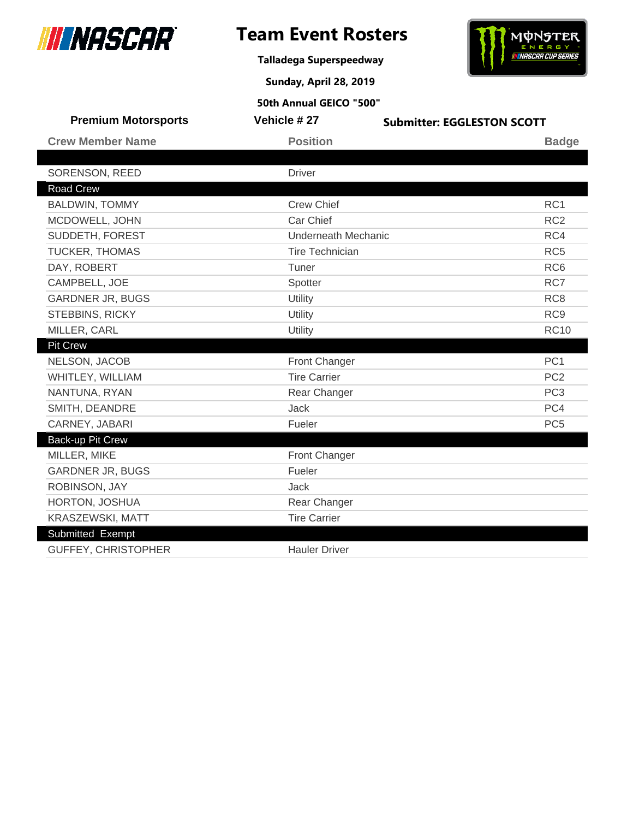

**Talladega Superspeedway**



**Sunday, April 28, 2019**

| <b>Premium Motorsports</b> | <b>Vehicle #27</b>         | <b>Submitter: EGGLESTON SCOTT</b> |
|----------------------------|----------------------------|-----------------------------------|
| <b>Crew Member Name</b>    | <b>Position</b>            | <b>Badge</b>                      |
|                            |                            |                                   |
| SORENSON, REED             | <b>Driver</b>              |                                   |
| <b>Road Crew</b>           |                            |                                   |
| <b>BALDWIN, TOMMY</b>      | <b>Crew Chief</b>          | RC <sub>1</sub>                   |
| MCDOWELL, JOHN             | Car Chief                  | RC <sub>2</sub>                   |
| SUDDETH, FOREST            | <b>Underneath Mechanic</b> | RC4                               |
| TUCKER, THOMAS             | <b>Tire Technician</b>     | RC <sub>5</sub>                   |
| DAY, ROBERT                | Tuner                      | RC <sub>6</sub>                   |
| CAMPBELL, JOE              | Spotter                    | RC7                               |
| <b>GARDNER JR, BUGS</b>    | Utility                    | RC <sub>8</sub>                   |
| <b>STEBBINS, RICKY</b>     | Utility                    | RC <sub>9</sub>                   |
| MILLER, CARL               | Utility                    | <b>RC10</b>                       |
| Pit Crew                   |                            |                                   |
| NELSON, JACOB              | Front Changer              | PC <sub>1</sub>                   |
| WHITLEY, WILLIAM           | <b>Tire Carrier</b>        | PC <sub>2</sub>                   |
| NANTUNA, RYAN              | Rear Changer               | PC <sub>3</sub>                   |
| SMITH, DEANDRE             | <b>Jack</b>                | PC4                               |
| CARNEY, JABARI             | Fueler                     | PC <sub>5</sub>                   |
| Back-up Pit Crew           |                            |                                   |
| MILLER, MIKE               | <b>Front Changer</b>       |                                   |
| <b>GARDNER JR, BUGS</b>    | Fueler                     |                                   |
| ROBINSON, JAY              | <b>Jack</b>                |                                   |
| HORTON, JOSHUA             | Rear Changer               |                                   |
| KRASZEWSKI, MATT           | <b>Tire Carrier</b>        |                                   |
| Submitted Exempt           |                            |                                   |
| <b>GUFFEY, CHRISTOPHER</b> | <b>Hauler Driver</b>       |                                   |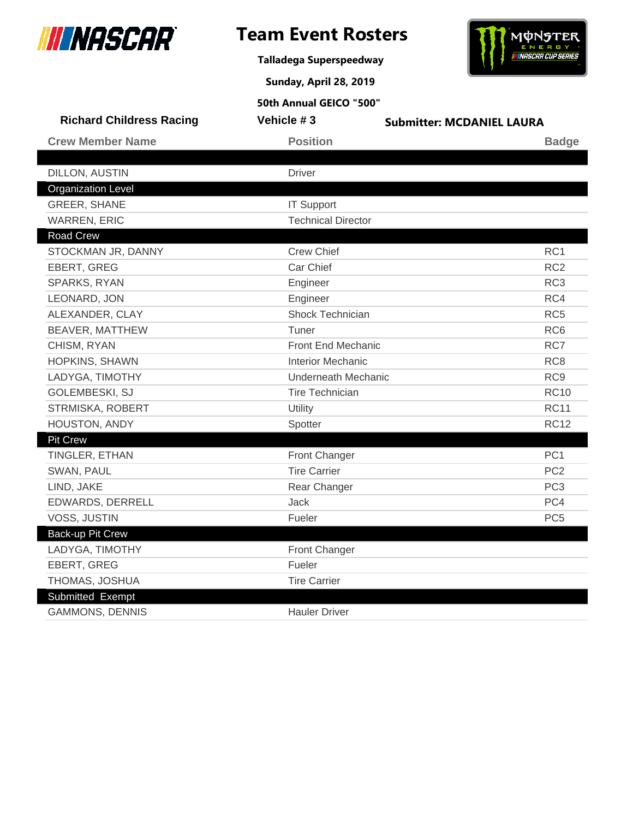

I

# **Team Event Rosters**

**Talladega Superspeedway**

**Sunday, April 28, 2019**



| 50th Annual GEICO "500"         |                            |                                  |                 |
|---------------------------------|----------------------------|----------------------------------|-----------------|
| <b>Richard Childress Racing</b> | Vehicle #3                 | <b>Submitter: MCDANIEL LAURA</b> |                 |
| <b>Crew Member Name</b>         | <b>Position</b>            |                                  | <b>Badge</b>    |
|                                 |                            |                                  |                 |
| <b>DILLON, AUSTIN</b>           | <b>Driver</b>              |                                  |                 |
| <b>Organization Level</b>       |                            |                                  |                 |
| <b>GREER, SHANE</b>             | <b>IT Support</b>          |                                  |                 |
| <b>WARREN, ERIC</b>             | <b>Technical Director</b>  |                                  |                 |
| <b>Road Crew</b>                |                            |                                  |                 |
| STOCKMAN JR, DANNY              | <b>Crew Chief</b>          |                                  | RC <sub>1</sub> |
| EBERT, GREG                     | Car Chief                  |                                  | RC <sub>2</sub> |
| SPARKS, RYAN                    | Engineer                   |                                  | RC <sub>3</sub> |
| LEONARD, JON                    | Engineer                   |                                  | RC4             |
| ALEXANDER, CLAY                 | Shock Technician           |                                  | RC <sub>5</sub> |
| BEAVER, MATTHEW                 | Tuner                      |                                  | RC <sub>6</sub> |
| CHISM, RYAN                     | <b>Front End Mechanic</b>  |                                  | RC7             |
| <b>HOPKINS, SHAWN</b>           | <b>Interior Mechanic</b>   |                                  | RC <sub>8</sub> |
| LADYGA, TIMOTHY                 | <b>Underneath Mechanic</b> |                                  | RC <sub>9</sub> |
| GOLEMBESKI, SJ                  | <b>Tire Technician</b>     |                                  | <b>RC10</b>     |
| STRMISKA, ROBERT                | Utility                    |                                  | <b>RC11</b>     |
| HOUSTON, ANDY                   | Spotter                    |                                  | <b>RC12</b>     |
| <b>Pit Crew</b>                 |                            |                                  |                 |
| TINGLER, ETHAN                  | <b>Front Changer</b>       |                                  | PC <sub>1</sub> |
| SWAN, PAUL                      | <b>Tire Carrier</b>        |                                  | PC <sub>2</sub> |
| LIND, JAKE                      | Rear Changer               |                                  | PC <sub>3</sub> |
| EDWARDS, DERRELL                | Jack                       |                                  | PC4             |
| VOSS, JUSTIN                    | Fueler                     |                                  | PC <sub>5</sub> |
| <b>Back-up Pit Crew</b>         |                            |                                  |                 |
| LADYGA, TIMOTHY                 | Front Changer              |                                  |                 |
| EBERT, GREG                     | Fueler                     |                                  |                 |
| THOMAS, JOSHUA                  | <b>Tire Carrier</b>        |                                  |                 |
| Submitted Exempt                |                            |                                  |                 |
| <b>GAMMONS, DENNIS</b>          | <b>Hauler Driver</b>       |                                  |                 |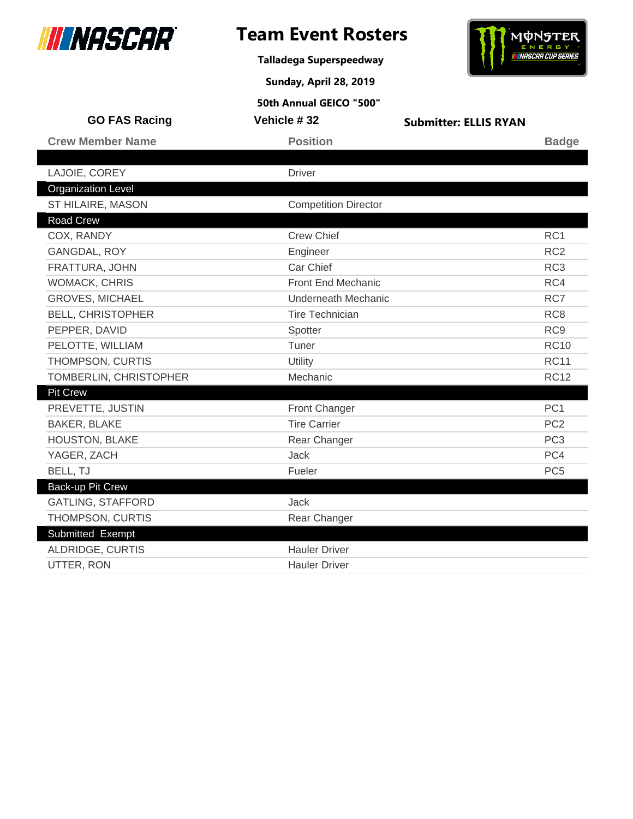

**Talladega Superspeedway**

**Sunday, April 28, 2019**

# **MONSTER** ENERGY

|                           | 50th Annual GEICO "500"     |                              |                 |
|---------------------------|-----------------------------|------------------------------|-----------------|
| <b>GO FAS Racing</b>      | Vehicle #32                 | <b>Submitter: ELLIS RYAN</b> |                 |
| <b>Crew Member Name</b>   | <b>Position</b>             |                              | <b>Badge</b>    |
|                           |                             |                              |                 |
| LAJOIE, COREY             | <b>Driver</b>               |                              |                 |
| <b>Organization Level</b> |                             |                              |                 |
| ST HILAIRE, MASON         | <b>Competition Director</b> |                              |                 |
| <b>Road Crew</b>          |                             |                              |                 |
| COX, RANDY                | <b>Crew Chief</b>           |                              | RC <sub>1</sub> |
| GANGDAL, ROY              | Engineer                    |                              | RC <sub>2</sub> |
| FRATTURA, JOHN            | Car Chief                   |                              | RC <sub>3</sub> |
| <b>WOMACK, CHRIS</b>      | Front End Mechanic          |                              | RC4             |
| <b>GROVES, MICHAEL</b>    | Underneath Mechanic         |                              | RC7             |
| <b>BELL, CHRISTOPHER</b>  | <b>Tire Technician</b>      |                              | RC <sub>8</sub> |
| PEPPER, DAVID             | Spotter                     |                              | RC <sub>9</sub> |
| PELOTTE, WILLIAM          | Tuner                       |                              | <b>RC10</b>     |
| THOMPSON, CURTIS          | Utility                     |                              | <b>RC11</b>     |
| TOMBERLIN, CHRISTOPHER    | Mechanic                    |                              | <b>RC12</b>     |
| <b>Pit Crew</b>           |                             |                              |                 |
| PREVETTE, JUSTIN          | Front Changer               |                              | PC <sub>1</sub> |
| <b>BAKER, BLAKE</b>       | <b>Tire Carrier</b>         |                              | PC <sub>2</sub> |
| <b>HOUSTON, BLAKE</b>     | Rear Changer                |                              | PC <sub>3</sub> |
| YAGER, ZACH               | Jack                        |                              | PC4             |
| BELL, TJ                  | Fueler                      |                              | PC <sub>5</sub> |
| Back-up Pit Crew          |                             |                              |                 |
| <b>GATLING, STAFFORD</b>  | <b>Jack</b>                 |                              |                 |
| THOMPSON, CURTIS          | Rear Changer                |                              |                 |
| Submitted Exempt          |                             |                              |                 |
| ALDRIDGE, CURTIS          | <b>Hauler Driver</b>        |                              |                 |
| UTTER, RON                | <b>Hauler Driver</b>        |                              |                 |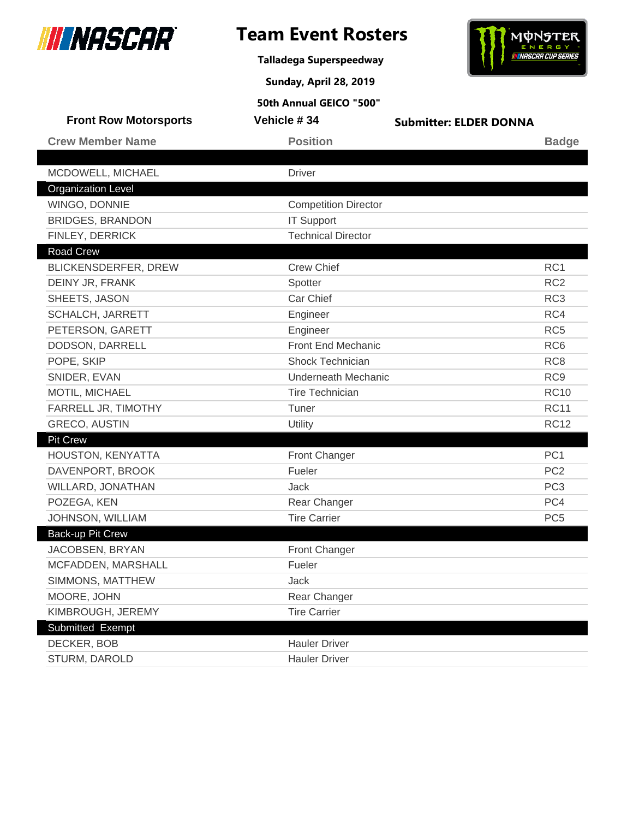

I

# **Team Event Rosters**

**Talladega Superspeedway**

**Sunday, April 28, 2019**



| <b>Front Row Motorsports</b> | Vehicle #34                 | <b>Submitter: ELDER DONNA</b> |                 |
|------------------------------|-----------------------------|-------------------------------|-----------------|
| <b>Crew Member Name</b>      | <b>Position</b>             |                               | <b>Badge</b>    |
| MCDOWELL, MICHAEL            | <b>Driver</b>               |                               |                 |
| <b>Organization Level</b>    |                             |                               |                 |
| WINGO, DONNIE                | <b>Competition Director</b> |                               |                 |
| <b>BRIDGES, BRANDON</b>      | <b>IT Support</b>           |                               |                 |
| FINLEY, DERRICK              | <b>Technical Director</b>   |                               |                 |
| <b>Road Crew</b>             |                             |                               |                 |
| <b>BLICKENSDERFER, DREW</b>  | <b>Crew Chief</b>           |                               | RC1             |
| DEINY JR, FRANK              | Spotter                     |                               | RC <sub>2</sub> |
| SHEETS, JASON                | Car Chief                   |                               | RC <sub>3</sub> |
| SCHALCH, JARRETT             | Engineer                    |                               | RC4             |
| PETERSON, GARETT             | Engineer                    |                               | RC <sub>5</sub> |
| DODSON, DARRELL              | Front End Mechanic          |                               | RC <sub>6</sub> |
| POPE, SKIP                   | <b>Shock Technician</b>     |                               | RC <sub>8</sub> |
| SNIDER, EVAN                 | Underneath Mechanic         |                               | RC <sub>9</sub> |
| MOTIL, MICHAEL               | Tire Technician             |                               | <b>RC10</b>     |
| FARRELL JR, TIMOTHY          | Tuner                       |                               | <b>RC11</b>     |
| <b>GRECO, AUSTIN</b>         | Utility                     |                               | <b>RC12</b>     |
| <b>Pit Crew</b>              |                             |                               |                 |
| HOUSTON, KENYATTA            | <b>Front Changer</b>        |                               | PC <sub>1</sub> |
| DAVENPORT, BROOK             | Fueler                      |                               | PC <sub>2</sub> |
| WILLARD, JONATHAN            | <b>Jack</b>                 |                               | PC <sub>3</sub> |
| POZEGA, KEN                  | Rear Changer                |                               | PC4             |
| JOHNSON, WILLIAM             | <b>Tire Carrier</b>         |                               | PC <sub>5</sub> |
| Back-up Pit Crew             |                             |                               |                 |
| JACOBSEN, BRYAN              | Front Changer               |                               |                 |
| MCFADDEN, MARSHALL           | Fueler                      |                               |                 |
| SIMMONS, MATTHEW             | Jack                        |                               |                 |
| MOORE, JOHN                  | Rear Changer                |                               |                 |
| KIMBROUGH, JEREMY            | <b>Tire Carrier</b>         |                               |                 |
| Submitted Exempt             |                             |                               |                 |
| DECKER, BOB                  | <b>Hauler Driver</b>        |                               |                 |
| STURM, DAROLD                | <b>Hauler Driver</b>        |                               |                 |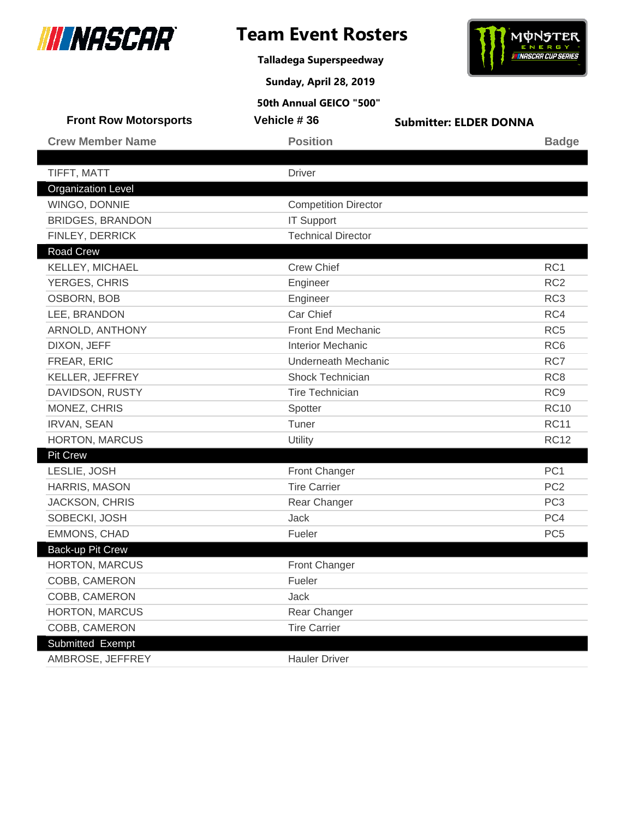

**Talladega Superspeedway**

**Sunday, April 28, 2019**



| <b>Front Row Motorsports</b>               | Vehicle #36                                    | <b>Submitter: ELDER DONNA</b> |                 |
|--------------------------------------------|------------------------------------------------|-------------------------------|-----------------|
| <b>Crew Member Name</b>                    | <b>Position</b>                                |                               | <b>Badge</b>    |
|                                            |                                                |                               |                 |
| TIFFT, MATT                                | <b>Driver</b>                                  |                               |                 |
| <b>Organization Level</b>                  |                                                |                               |                 |
| WINGO, DONNIE                              | <b>Competition Director</b>                    |                               |                 |
| <b>BRIDGES, BRANDON</b><br>FINLEY, DERRICK | <b>IT Support</b><br><b>Technical Director</b> |                               |                 |
| <b>Road Crew</b>                           |                                                |                               |                 |
| KELLEY, MICHAEL                            | <b>Crew Chief</b>                              |                               | RC1             |
| YERGES, CHRIS                              | Engineer                                       |                               | RC <sub>2</sub> |
| OSBORN, BOB                                | Engineer                                       |                               | RC <sub>3</sub> |
| LEE, BRANDON                               | Car Chief                                      |                               | RC4             |
| ARNOLD, ANTHONY                            | Front End Mechanic                             |                               | RC <sub>5</sub> |
| DIXON, JEFF                                | <b>Interior Mechanic</b>                       |                               | RC <sub>6</sub> |
| FREAR, ERIC                                | <b>Underneath Mechanic</b>                     |                               | RC7             |
| KELLER, JEFFREY                            | Shock Technician                               |                               | RC <sub>8</sub> |
| DAVIDSON, RUSTY                            | <b>Tire Technician</b>                         |                               | RC <sub>9</sub> |
| MONEZ, CHRIS                               | Spotter                                        |                               | <b>RC10</b>     |
| <b>IRVAN, SEAN</b>                         | Tuner                                          |                               | <b>RC11</b>     |
| <b>HORTON, MARCUS</b>                      | Utility                                        |                               | <b>RC12</b>     |
| <b>Pit Crew</b>                            |                                                |                               |                 |
| LESLIE, JOSH                               | Front Changer                                  |                               | PC <sub>1</sub> |
| HARRIS, MASON                              | <b>Tire Carrier</b>                            |                               | PC <sub>2</sub> |
| <b>JACKSON, CHRIS</b>                      | Rear Changer                                   |                               | PC <sub>3</sub> |
| SOBECKI, JOSH                              | Jack                                           |                               | PC4             |
| <b>EMMONS, CHAD</b>                        | Fueler                                         |                               | PC <sub>5</sub> |
| Back-up Pit Crew                           |                                                |                               |                 |
| <b>HORTON, MARCUS</b>                      | Front Changer                                  |                               |                 |
| COBB, CAMERON                              | Fueler                                         |                               |                 |
| COBB, CAMERON                              | Jack                                           |                               |                 |
| HORTON, MARCUS                             | Rear Changer                                   |                               |                 |
| COBB, CAMERON                              | <b>Tire Carrier</b>                            |                               |                 |
| Submitted Exempt                           |                                                |                               |                 |
| AMBROSE, JEFFREY                           | <b>Hauler Driver</b>                           |                               |                 |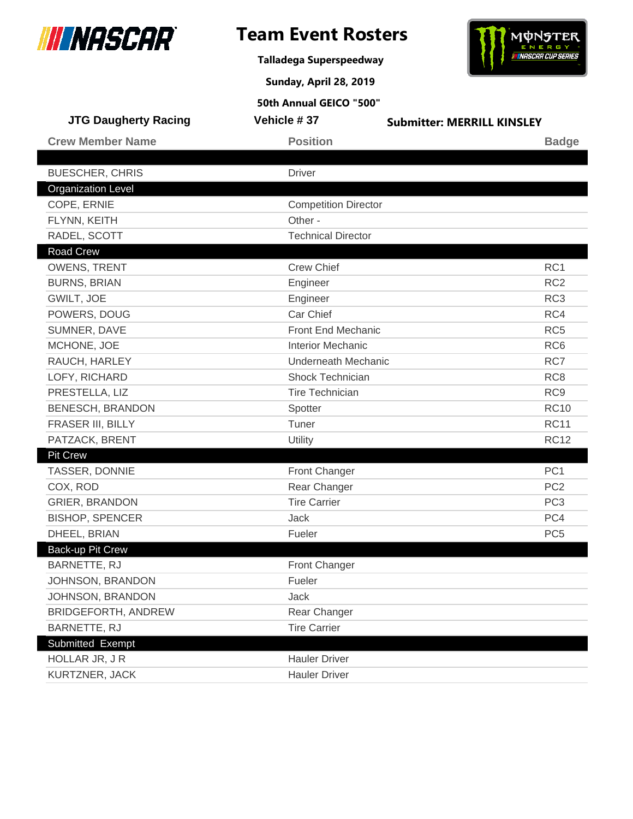

**Talladega Superspeedway**

**Sunday, April 28, 2019**



| <b>JTG Daugherty Racing</b> | Vehicle #37                 | <b>Submitter: MERRILL KINSLEY</b> |
|-----------------------------|-----------------------------|-----------------------------------|
| <b>Crew Member Name</b>     | <b>Position</b>             | <b>Badge</b>                      |
|                             |                             |                                   |
| <b>BUESCHER, CHRIS</b>      | <b>Driver</b>               |                                   |
| <b>Organization Level</b>   |                             |                                   |
| COPE, ERNIE                 | <b>Competition Director</b> |                                   |
| FLYNN, KEITH                | Other -                     |                                   |
| RADEL, SCOTT                | <b>Technical Director</b>   |                                   |
| Road Crew                   |                             |                                   |
| <b>OWENS, TRENT</b>         | <b>Crew Chief</b>           | RC <sub>1</sub>                   |
| <b>BURNS, BRIAN</b>         | Engineer                    | RC <sub>2</sub>                   |
| GWILT, JOE                  | Engineer                    | RC <sub>3</sub>                   |
| POWERS, DOUG                | Car Chief                   | RC4                               |
| SUMNER, DAVE                | Front End Mechanic          | RC <sub>5</sub>                   |
| MCHONE, JOE                 | <b>Interior Mechanic</b>    | RC <sub>6</sub>                   |
| RAUCH, HARLEY               | <b>Underneath Mechanic</b>  | RC7                               |
| LOFY, RICHARD               | Shock Technician            | RC <sub>8</sub>                   |
| PRESTELLA, LIZ              | <b>Tire Technician</b>      | RC <sub>9</sub>                   |
| <b>BENESCH, BRANDON</b>     | Spotter                     | <b>RC10</b>                       |
| FRASER III, BILLY           | Tuner                       | <b>RC11</b>                       |
| PATZACK, BRENT              | <b>Utility</b>              | <b>RC12</b>                       |
| <b>Pit Crew</b>             |                             |                                   |
| TASSER, DONNIE              | Front Changer               | PC <sub>1</sub>                   |
| COX, ROD                    | Rear Changer                | PC <sub>2</sub>                   |
| <b>GRIER, BRANDON</b>       | <b>Tire Carrier</b>         | PC <sub>3</sub>                   |
| <b>BISHOP, SPENCER</b>      | Jack                        | PC4                               |
| DHEEL, BRIAN                | Fueler                      | PC <sub>5</sub>                   |
| <b>Back-up Pit Crew</b>     |                             |                                   |
| <b>BARNETTE, RJ</b>         | <b>Front Changer</b>        |                                   |
| JOHNSON, BRANDON            | Fueler                      |                                   |
| JOHNSON, BRANDON            | <b>Jack</b>                 |                                   |
| BRIDGEFORTH, ANDREW         | Rear Changer                |                                   |
| BARNETTE, RJ                | <b>Tire Carrier</b>         |                                   |
| Submitted Exempt            |                             |                                   |
| HOLLAR JR, JR               | <b>Hauler Driver</b>        |                                   |
| KURTZNER, JACK              | <b>Hauler Driver</b>        |                                   |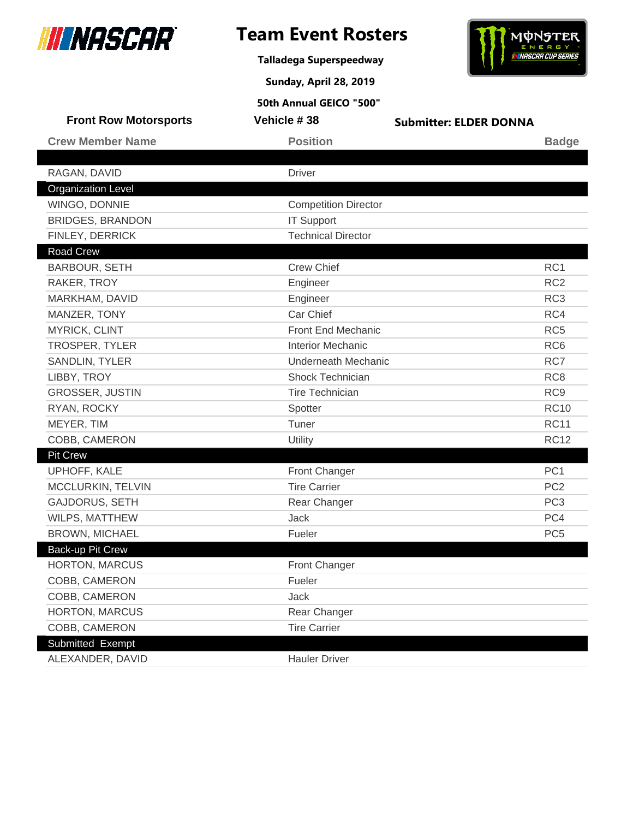

**Talladega Superspeedway**

**Sunday, April 28, 2019**



| <b>Front Row Motorsports</b> | Vehicle #38                 | <b>Submitter: ELDER DONNA</b> |                 |
|------------------------------|-----------------------------|-------------------------------|-----------------|
| <b>Crew Member Name</b>      | <b>Position</b>             |                               | <b>Badge</b>    |
|                              |                             |                               |                 |
| RAGAN, DAVID                 | <b>Driver</b>               |                               |                 |
| <b>Organization Level</b>    |                             |                               |                 |
| WINGO, DONNIE                | <b>Competition Director</b> |                               |                 |
| <b>BRIDGES, BRANDON</b>      | <b>IT Support</b>           |                               |                 |
| FINLEY, DERRICK              | <b>Technical Director</b>   |                               |                 |
| Road Crew                    |                             |                               |                 |
| <b>BARBOUR, SETH</b>         | <b>Crew Chief</b>           |                               | RC1             |
| RAKER, TROY                  | Engineer                    |                               | RC <sub>2</sub> |
| MARKHAM, DAVID               | Engineer                    |                               | RC <sub>3</sub> |
| MANZER, TONY                 | Car Chief                   |                               | RC4             |
| <b>MYRICK, CLINT</b>         | <b>Front End Mechanic</b>   |                               | RC <sub>5</sub> |
| TROSPER, TYLER               | <b>Interior Mechanic</b>    |                               | RC <sub>6</sub> |
| SANDLIN, TYLER               | Underneath Mechanic         |                               | RC7             |
| LIBBY, TROY                  | Shock Technician            |                               | RC <sub>8</sub> |
| <b>GROSSER, JUSTIN</b>       | <b>Tire Technician</b>      |                               | RC <sub>9</sub> |
| RYAN, ROCKY                  | Spotter                     |                               | <b>RC10</b>     |
| MEYER, TIM                   | Tuner                       |                               | <b>RC11</b>     |
| COBB, CAMERON                | <b>Utility</b>              |                               | <b>RC12</b>     |
| <b>Pit Crew</b>              |                             |                               |                 |
| UPHOFF, KALE                 | Front Changer               |                               | PC <sub>1</sub> |
| MCCLURKIN, TELVIN            | <b>Tire Carrier</b>         |                               | PC <sub>2</sub> |
| <b>GAJDORUS, SETH</b>        | Rear Changer                |                               | PC <sub>3</sub> |
| WILPS, MATTHEW               | <b>Jack</b>                 |                               | PC4             |
| <b>BROWN, MICHAEL</b>        | Fueler                      |                               | PC <sub>5</sub> |
| Back-up Pit Crew             |                             |                               |                 |
| HORTON, MARCUS               | Front Changer               |                               |                 |
| COBB, CAMERON                | Fueler                      |                               |                 |
| COBB, CAMERON                | Jack                        |                               |                 |
| HORTON, MARCUS               | Rear Changer                |                               |                 |
| COBB, CAMERON                | <b>Tire Carrier</b>         |                               |                 |
| Submitted Exempt             |                             |                               |                 |
| ALEXANDER, DAVID             | <b>Hauler Driver</b>        |                               |                 |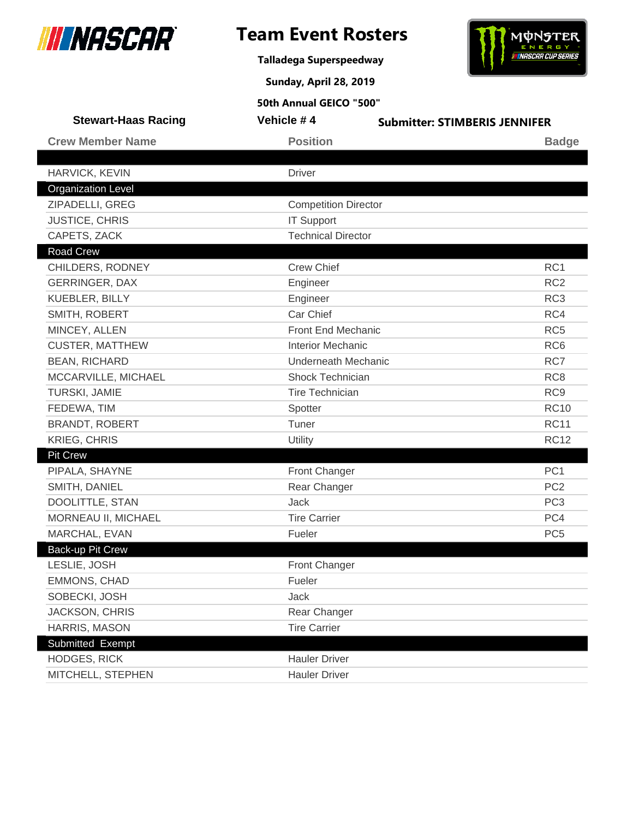

**Talladega Superspeedway**



**Sunday, April 28, 2019**

| <b>Stewart-Haas Racing</b> | Vehicle #4                  | <b>Submitter: STIMBERIS JENNIFER</b> |
|----------------------------|-----------------------------|--------------------------------------|
| <b>Crew Member Name</b>    | <b>Position</b>             | <b>Badge</b>                         |
|                            |                             |                                      |
| HARVICK, KEVIN             | <b>Driver</b>               |                                      |
| <b>Organization Level</b>  |                             |                                      |
| ZIPADELLI, GREG            | <b>Competition Director</b> |                                      |
| <b>JUSTICE, CHRIS</b>      | <b>IT Support</b>           |                                      |
| CAPETS, ZACK               | <b>Technical Director</b>   |                                      |
| <b>Road Crew</b>           |                             |                                      |
| CHILDERS, RODNEY           | <b>Crew Chief</b>           | RC1                                  |
| <b>GERRINGER, DAX</b>      | Engineer                    | RC <sub>2</sub>                      |
| KUEBLER, BILLY             | Engineer                    | RC <sub>3</sub>                      |
| SMITH, ROBERT              | Car Chief                   | RC4                                  |
| MINCEY, ALLEN              | Front End Mechanic          | RC <sub>5</sub>                      |
| <b>CUSTER, MATTHEW</b>     | <b>Interior Mechanic</b>    | RC <sub>6</sub>                      |
| <b>BEAN, RICHARD</b>       | <b>Underneath Mechanic</b>  | RC7                                  |
| MCCARVILLE, MICHAEL        | <b>Shock Technician</b>     | RC <sub>8</sub>                      |
| TURSKI, JAMIE              | <b>Tire Technician</b>      | RC <sub>9</sub>                      |
| FEDEWA, TIM                | Spotter                     | <b>RC10</b>                          |
| <b>BRANDT, ROBERT</b>      | Tuner                       | <b>RC11</b>                          |
| <b>KRIEG, CHRIS</b>        | Utility                     | <b>RC12</b>                          |
| Pit Crew                   |                             |                                      |
| PIPALA, SHAYNE             | Front Changer               | PC <sub>1</sub>                      |
| SMITH, DANIEL              | Rear Changer                | PC <sub>2</sub>                      |
| DOOLITTLE, STAN            | Jack                        | PC <sub>3</sub>                      |
| MORNEAU II, MICHAEL        | <b>Tire Carrier</b>         | PC4                                  |
| MARCHAL, EVAN              | Fueler                      | PC <sub>5</sub>                      |
| Back-up Pit Crew           |                             |                                      |
| LESLIE, JOSH               | Front Changer               |                                      |
| EMMONS, CHAD               | Fueler                      |                                      |
| SOBECKI, JOSH              | Jack                        |                                      |
| <b>JACKSON, CHRIS</b>      | Rear Changer                |                                      |
| HARRIS, MASON              | <b>Tire Carrier</b>         |                                      |
| Submitted Exempt           |                             |                                      |
| <b>HODGES, RICK</b>        | <b>Hauler Driver</b>        |                                      |
| MITCHELL, STEPHEN          | <b>Hauler Driver</b>        |                                      |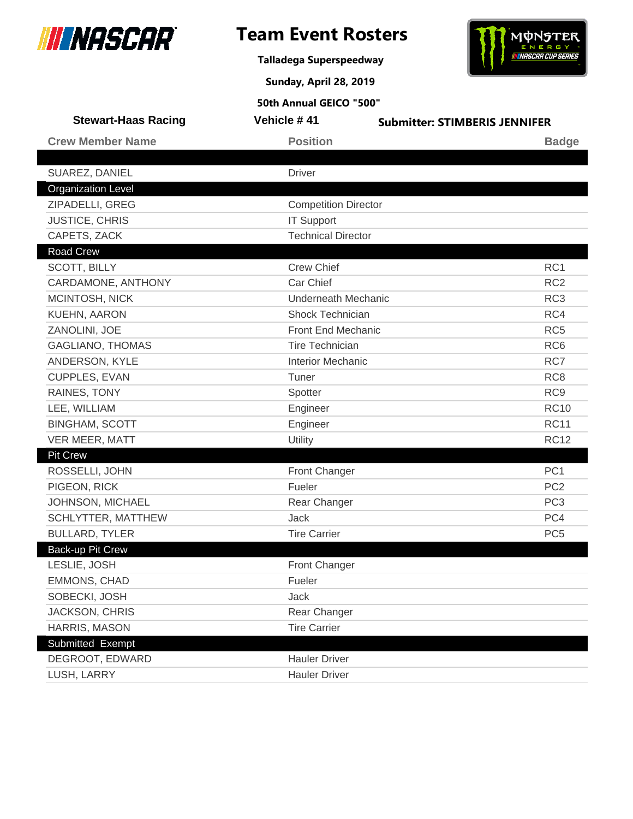

**Talladega Superspeedway**



**Sunday, April 28, 2019**

| <b>Stewart-Haas Racing</b> | Vehicle #41                 | <b>Submitter: STIMBERIS JENNIFER</b> |
|----------------------------|-----------------------------|--------------------------------------|
| <b>Crew Member Name</b>    | <b>Position</b>             | <b>Badge</b>                         |
|                            |                             |                                      |
| SUAREZ, DANIEL             | <b>Driver</b>               |                                      |
| <b>Organization Level</b>  |                             |                                      |
| ZIPADELLI, GREG            | <b>Competition Director</b> |                                      |
| <b>JUSTICE, CHRIS</b>      | <b>IT Support</b>           |                                      |
| CAPETS, ZACK               | <b>Technical Director</b>   |                                      |
| <b>Road Crew</b>           |                             |                                      |
| <b>SCOTT, BILLY</b>        | <b>Crew Chief</b>           | RC1                                  |
| CARDAMONE, ANTHONY         | Car Chief                   | RC <sub>2</sub>                      |
| MCINTOSH, NICK             | <b>Underneath Mechanic</b>  | RC <sub>3</sub>                      |
| KUEHN, AARON               | Shock Technician            | RC4                                  |
| ZANOLINI, JOE              | Front End Mechanic          | RC <sub>5</sub>                      |
| <b>GAGLIANO, THOMAS</b>    | <b>Tire Technician</b>      | RC <sub>6</sub>                      |
| ANDERSON, KYLE             | <b>Interior Mechanic</b>    | RC7                                  |
| <b>CUPPLES, EVAN</b>       | Tuner                       | RC <sub>8</sub>                      |
| RAINES, TONY               | Spotter                     | RC <sub>9</sub>                      |
| LEE, WILLIAM               | Engineer                    | <b>RC10</b>                          |
| <b>BINGHAM, SCOTT</b>      | Engineer                    | <b>RC11</b>                          |
| VER MEER, MATT             | Utility                     | <b>RC12</b>                          |
| <b>Pit Crew</b>            |                             |                                      |
| ROSSELLI, JOHN             | <b>Front Changer</b>        | PC <sub>1</sub>                      |
| PIGEON, RICK               | Fueler                      | PC <sub>2</sub>                      |
| JOHNSON, MICHAEL           | Rear Changer                | PC <sub>3</sub>                      |
| SCHLYTTER, MATTHEW         | <b>Jack</b>                 | PC4                                  |
| <b>BULLARD, TYLER</b>      | <b>Tire Carrier</b>         | PC <sub>5</sub>                      |
| Back-up Pit Crew           |                             |                                      |
| LESLIE, JOSH               | <b>Front Changer</b>        |                                      |
| EMMONS, CHAD               | Fueler                      |                                      |
| SOBECKI, JOSH              | Jack                        |                                      |
| <b>JACKSON, CHRIS</b>      | Rear Changer                |                                      |
| HARRIS, MASON              | <b>Tire Carrier</b>         |                                      |
| Submitted Exempt           |                             |                                      |
| DEGROOT, EDWARD            | <b>Hauler Driver</b>        |                                      |
| LUSH, LARRY                | <b>Hauler Driver</b>        |                                      |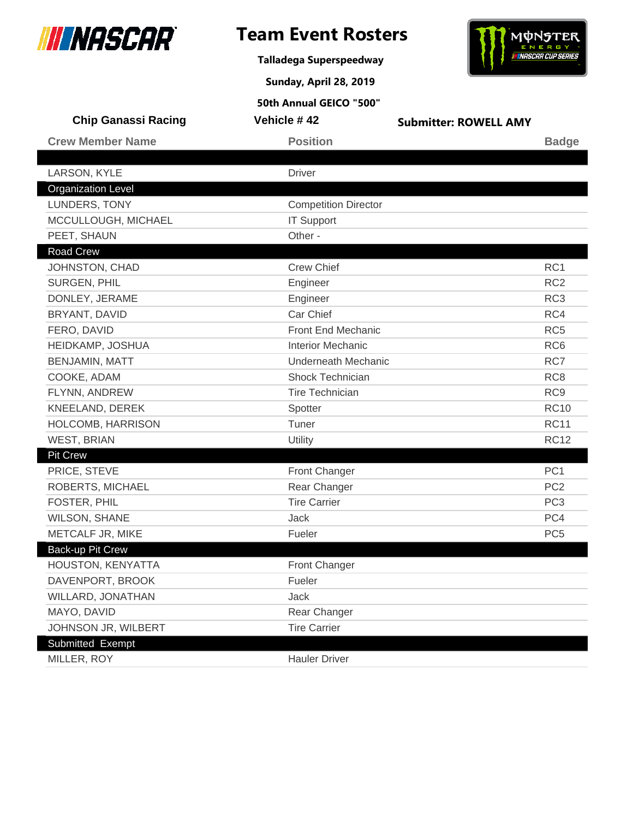

# **Team Event Rosters**

**Talladega Superspeedway**

**Sunday, April 28, 2019**



| <b>Chip Ganassi Racing</b> | Vehicle #42                 | <b>Submitter: ROWELL AMY</b> |                 |
|----------------------------|-----------------------------|------------------------------|-----------------|
| <b>Crew Member Name</b>    | <b>Position</b>             |                              | <b>Badge</b>    |
|                            |                             |                              |                 |
| LARSON, KYLE               | <b>Driver</b>               |                              |                 |
| <b>Organization Level</b>  |                             |                              |                 |
| LUNDERS, TONY              | <b>Competition Director</b> |                              |                 |
| MCCULLOUGH, MICHAEL        | <b>IT Support</b>           |                              |                 |
| PEET, SHAUN                | Other -                     |                              |                 |
| Road Crew                  |                             |                              |                 |
| JOHNSTON, CHAD             | <b>Crew Chief</b>           |                              | RC <sub>1</sub> |
| SURGEN, PHIL               | Engineer                    |                              | RC <sub>2</sub> |
| DONLEY, JERAME             | Engineer                    |                              | RC <sub>3</sub> |
| BRYANT, DAVID              | Car Chief                   |                              | RC4             |
| FERO, DAVID                | Front End Mechanic          |                              | RC <sub>5</sub> |
| HEIDKAMP, JOSHUA           | <b>Interior Mechanic</b>    |                              | RC <sub>6</sub> |
| <b>BENJAMIN, MATT</b>      | <b>Underneath Mechanic</b>  |                              | RC7             |
| COOKE, ADAM                | <b>Shock Technician</b>     |                              | RC <sub>8</sub> |
| FLYNN, ANDREW              | <b>Tire Technician</b>      |                              | RC <sub>9</sub> |
| KNEELAND, DEREK            | Spotter                     |                              | <b>RC10</b>     |
| HOLCOMB, HARRISON          | Tuner                       |                              | <b>RC11</b>     |
| <b>WEST, BRIAN</b>         | <b>Utility</b>              |                              | <b>RC12</b>     |
| <b>Pit Crew</b>            |                             |                              |                 |
| PRICE, STEVE               | Front Changer               |                              | PC <sub>1</sub> |
| ROBERTS, MICHAEL           | Rear Changer                |                              | PC <sub>2</sub> |
| FOSTER, PHIL               | <b>Tire Carrier</b>         |                              | PC <sub>3</sub> |
| <b>WILSON, SHANE</b>       | <b>Jack</b>                 |                              | PC4             |
| METCALF JR, MIKE           | Fueler                      |                              | PC <sub>5</sub> |
| Back-up Pit Crew           |                             |                              |                 |
| HOUSTON, KENYATTA          | Front Changer               |                              |                 |
| DAVENPORT, BROOK           | Fueler                      |                              |                 |
| WILLARD, JONATHAN          | Jack                        |                              |                 |
| MAYO, DAVID                | Rear Changer                |                              |                 |
| JOHNSON JR, WILBERT        | <b>Tire Carrier</b>         |                              |                 |
| Submitted Exempt           |                             |                              |                 |
| MILLER, ROY                | <b>Hauler Driver</b>        |                              |                 |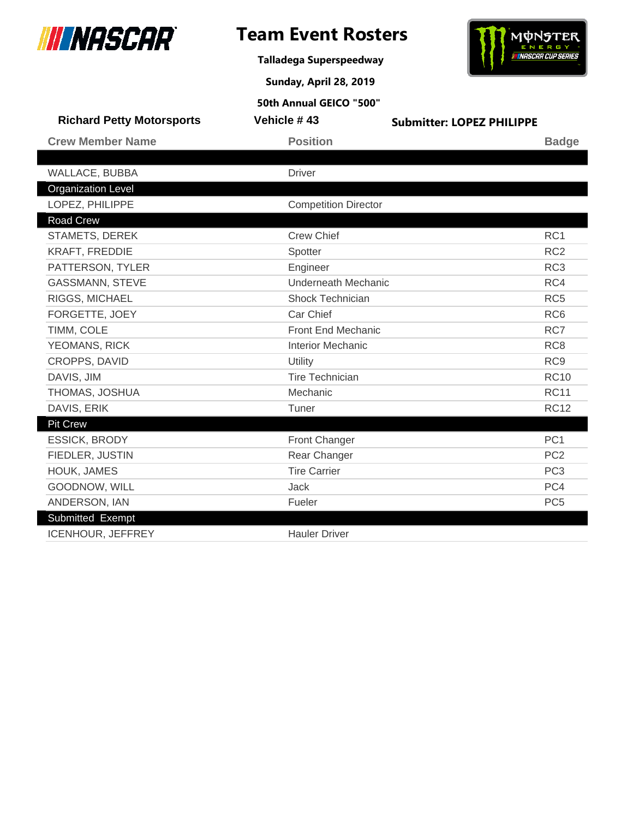

# **Team Event Rosters**

**Talladega Superspeedway**

**Sunday, April 28, 2019**

# **MUNSTER**

|                                  | 50th Annual GEICO "500"     |                                  |
|----------------------------------|-----------------------------|----------------------------------|
| <b>Richard Petty Motorsports</b> | Vehicle #43                 | <b>Submitter: LOPEZ PHILIPPE</b> |
| <b>Crew Member Name</b>          | <b>Position</b>             | <b>Badge</b>                     |
|                                  |                             |                                  |
| WALLACE, BUBBA                   | <b>Driver</b>               |                                  |
| <b>Organization Level</b>        |                             |                                  |
| LOPEZ, PHILIPPE                  | <b>Competition Director</b> |                                  |
| Road Crew                        |                             |                                  |
| <b>STAMETS, DEREK</b>            | <b>Crew Chief</b>           | RC <sub>1</sub>                  |
| <b>KRAFT, FREDDIE</b>            | Spotter                     | RC <sub>2</sub>                  |
| PATTERSON, TYLER                 | Engineer                    | RC <sub>3</sub>                  |
| <b>GASSMANN, STEVE</b>           | <b>Underneath Mechanic</b>  | RC4                              |
| RIGGS, MICHAEL                   | <b>Shock Technician</b>     | RC <sub>5</sub>                  |
| FORGETTE, JOEY                   | Car Chief                   | RC <sub>6</sub>                  |
| TIMM, COLE                       | <b>Front End Mechanic</b>   | RC7                              |
| YEOMANS, RICK                    | <b>Interior Mechanic</b>    | RC <sub>8</sub>                  |
| CROPPS, DAVID                    | Utility                     | RC <sub>9</sub>                  |
| DAVIS, JIM                       | <b>Tire Technician</b>      | <b>RC10</b>                      |
| THOMAS, JOSHUA                   | Mechanic                    | <b>RC11</b>                      |
| DAVIS, ERIK                      | Tuner                       | <b>RC12</b>                      |
| <b>Pit Crew</b>                  |                             |                                  |
| <b>ESSICK, BRODY</b>             | Front Changer               | PC <sub>1</sub>                  |
| FIEDLER, JUSTIN                  | Rear Changer                | PC <sub>2</sub>                  |
| HOUK, JAMES                      | <b>Tire Carrier</b>         | PC <sub>3</sub>                  |
| GOODNOW, WILL                    | Jack                        | PC4                              |
| ANDERSON, IAN                    | Fueler                      | PC <sub>5</sub>                  |
| Submitted Exempt                 |                             |                                  |
| ICENHOUR, JEFFREY                | <b>Hauler Driver</b>        |                                  |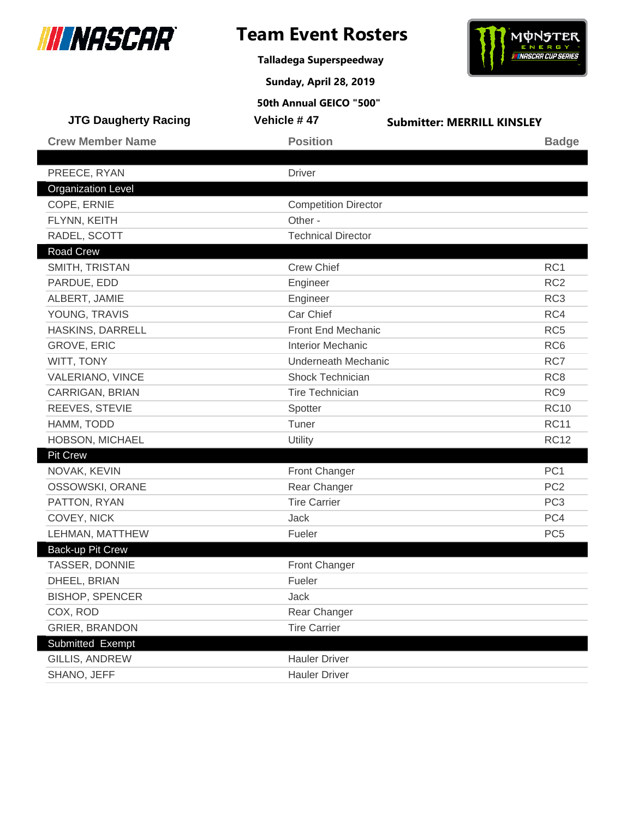

**Talladega Superspeedway**

**Sunday, April 28, 2019**



| <b>JTG Daugherty Racing</b>               | Vehicle #47                            | <b>Submitter: MERRILL KINSLEY</b> |
|-------------------------------------------|----------------------------------------|-----------------------------------|
| <b>Crew Member Name</b>                   | <b>Position</b>                        | <b>Badge</b>                      |
|                                           | <b>Driver</b>                          |                                   |
| PREECE, RYAN<br><b>Organization Level</b> |                                        |                                   |
| COPE, ERNIE                               |                                        |                                   |
| FLYNN, KEITH                              | <b>Competition Director</b><br>Other - |                                   |
| RADEL, SCOTT                              | <b>Technical Director</b>              |                                   |
| Road Crew                                 |                                        |                                   |
| SMITH, TRISTAN                            | <b>Crew Chief</b>                      | RC1                               |
| PARDUE, EDD                               | Engineer                               | RC <sub>2</sub>                   |
| ALBERT, JAMIE                             | Engineer                               | RC <sub>3</sub>                   |
| YOUNG, TRAVIS                             | Car Chief                              | RC4                               |
| HASKINS, DARRELL                          | Front End Mechanic                     | RC <sub>5</sub>                   |
| <b>GROVE, ERIC</b>                        | <b>Interior Mechanic</b>               | RC <sub>6</sub>                   |
| WITT, TONY                                | <b>Underneath Mechanic</b>             | RC7                               |
| <b>VALERIANO, VINCE</b>                   | Shock Technician                       | RC <sub>8</sub>                   |
| <b>CARRIGAN, BRIAN</b>                    | <b>Tire Technician</b>                 | RC <sub>9</sub>                   |
| REEVES, STEVIE                            | Spotter                                | <b>RC10</b>                       |
| HAMM, TODD                                | Tuner                                  | <b>RC11</b>                       |
| HOBSON, MICHAEL                           | Utility                                | <b>RC12</b>                       |
| <b>Pit Crew</b>                           |                                        |                                   |
| NOVAK, KEVIN                              | <b>Front Changer</b>                   | PC <sub>1</sub>                   |
| OSSOWSKI, ORANE                           | Rear Changer                           | PC <sub>2</sub>                   |
| PATTON, RYAN                              | <b>Tire Carrier</b>                    | PC <sub>3</sub>                   |
| COVEY, NICK                               | Jack                                   | PC4                               |
| LEHMAN, MATTHEW                           | Fueler                                 | PC <sub>5</sub>                   |
| Back-up Pit Crew                          |                                        |                                   |
| TASSER, DONNIE                            | <b>Front Changer</b>                   |                                   |
| DHEEL, BRIAN                              | Fueler                                 |                                   |
| <b>BISHOP, SPENCER</b>                    | Jack                                   |                                   |
| COX, ROD                                  | Rear Changer                           |                                   |
| <b>GRIER, BRANDON</b>                     | <b>Tire Carrier</b>                    |                                   |
| Submitted Exempt                          |                                        |                                   |
| GILLIS, ANDREW                            | <b>Hauler Driver</b>                   |                                   |
| SHANO, JEFF                               | <b>Hauler Driver</b>                   |                                   |
|                                           |                                        |                                   |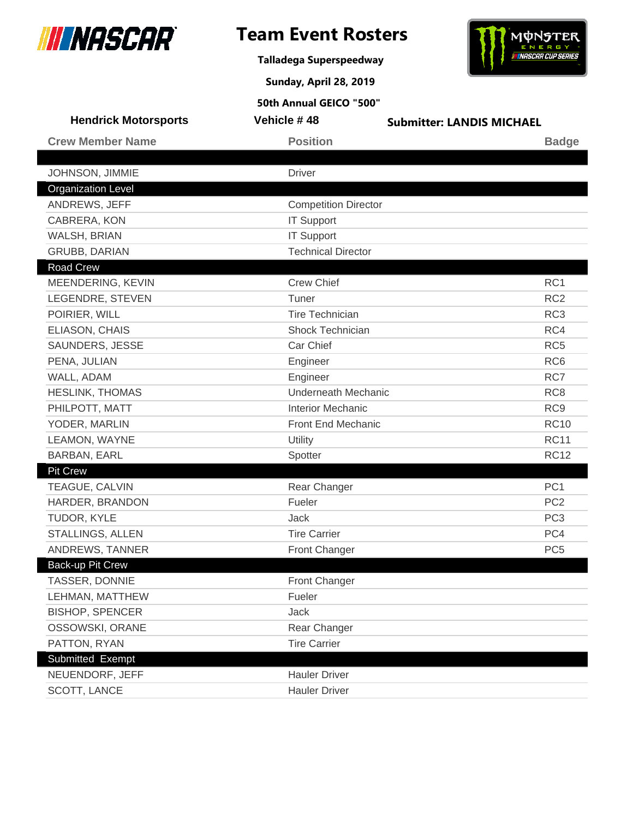

**Talladega Superspeedway**



**Sunday, April 28, 2019**

| <b>Hendrick Motorsports</b> | Vehicle #48                 | <b>Submitter: LANDIS MICHAEL</b> |
|-----------------------------|-----------------------------|----------------------------------|
| <b>Crew Member Name</b>     | <b>Position</b>             | <b>Badge</b>                     |
|                             |                             |                                  |
| JOHNSON, JIMMIE             | <b>Driver</b>               |                                  |
| <b>Organization Level</b>   |                             |                                  |
| ANDREWS, JEFF               | <b>Competition Director</b> |                                  |
| CABRERA, KON                | <b>IT Support</b>           |                                  |
| WALSH, BRIAN                | <b>IT Support</b>           |                                  |
| <b>GRUBB, DARIAN</b>        | <b>Technical Director</b>   |                                  |
| <b>Road Crew</b>            |                             |                                  |
| MEENDERING, KEVIN           | <b>Crew Chief</b>           | RC1                              |
| LEGENDRE, STEVEN            | Tuner                       | RC <sub>2</sub>                  |
| POIRIER, WILL               | <b>Tire Technician</b>      | RC <sub>3</sub>                  |
| ELIASON, CHAIS              | Shock Technician            | RC4                              |
| SAUNDERS, JESSE             | Car Chief                   | RC <sub>5</sub>                  |
| PENA, JULIAN                | Engineer                    | RC <sub>6</sub>                  |
| WALL, ADAM                  | Engineer                    | RC7                              |
| <b>HESLINK, THOMAS</b>      | <b>Underneath Mechanic</b>  | RC <sub>8</sub>                  |
| PHILPOTT, MATT              | <b>Interior Mechanic</b>    | RC <sub>9</sub>                  |
| YODER, MARLIN               | Front End Mechanic          | <b>RC10</b>                      |
| LEAMON, WAYNE               | Utility                     | <b>RC11</b>                      |
| <b>BARBAN, EARL</b>         | Spotter                     | <b>RC12</b>                      |
| <b>Pit Crew</b>             |                             |                                  |
| TEAGUE, CALVIN              | Rear Changer                | PC <sub>1</sub>                  |
| HARDER, BRANDON             | Fueler                      | PC <sub>2</sub>                  |
| TUDOR, KYLE                 | <b>Jack</b>                 | PC <sub>3</sub>                  |
| STALLINGS, ALLEN            | <b>Tire Carrier</b>         | PC4                              |
| ANDREWS, TANNER             | Front Changer               | PC <sub>5</sub>                  |
| Back-up Pit Crew            |                             |                                  |
| TASSER, DONNIE              | <b>Front Changer</b>        |                                  |
| LEHMAN, MATTHEW             | Fueler                      |                                  |
| <b>BISHOP, SPENCER</b>      | Jack                        |                                  |
| OSSOWSKI, ORANE             | Rear Changer                |                                  |
| PATTON, RYAN                | <b>Tire Carrier</b>         |                                  |
| Submitted Exempt            |                             |                                  |
| NEUENDORF, JEFF             | <b>Hauler Driver</b>        |                                  |
| SCOTT, LANCE                | <b>Hauler Driver</b>        |                                  |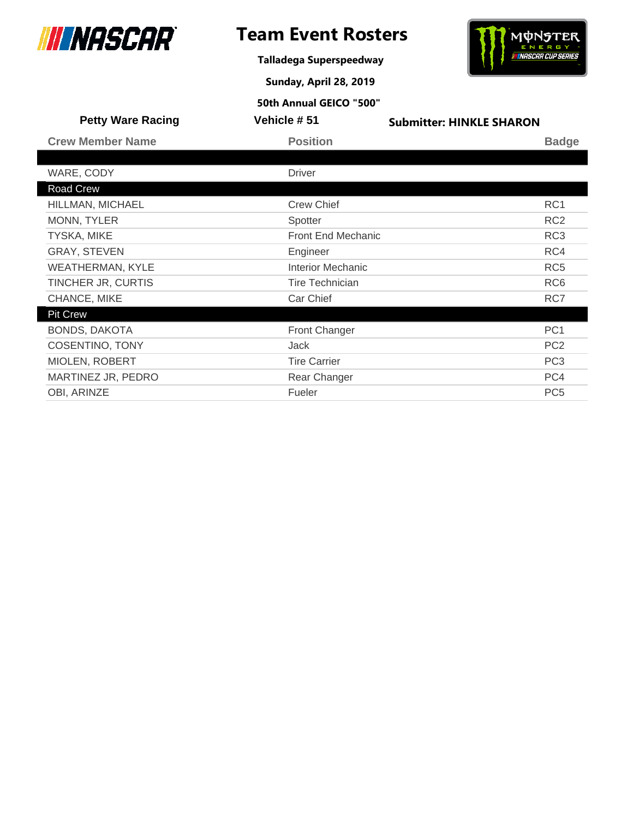

I

# **Team Event Rosters**

**Talladega Superspeedway**



**Sunday, April 28, 2019**

| <b>Petty Ware Racing</b> | <b>Vehicle #51</b>        | <b>Submitter: HINKLE SHARON</b> |
|--------------------------|---------------------------|---------------------------------|
| <b>Crew Member Name</b>  | <b>Position</b>           | <b>Badge</b>                    |
|                          |                           |                                 |
| WARE, CODY               | <b>Driver</b>             |                                 |
| <b>Road Crew</b>         |                           |                                 |
| HILLMAN, MICHAEL         | <b>Crew Chief</b>         | RC1                             |
| MONN, TYLER              | Spotter                   | RC <sub>2</sub>                 |
| <b>TYSKA, MIKE</b>       | <b>Front End Mechanic</b> | RC <sub>3</sub>                 |
| <b>GRAY, STEVEN</b>      | Engineer                  | RC4                             |
| <b>WEATHERMAN, KYLE</b>  | <b>Interior Mechanic</b>  | RC <sub>5</sub>                 |
| TINCHER JR, CURTIS       | <b>Tire Technician</b>    | RC <sub>6</sub>                 |
| CHANCE, MIKE             | Car Chief                 | RC7                             |
| <b>Pit Crew</b>          |                           |                                 |
| <b>BONDS, DAKOTA</b>     | Front Changer             | PC <sub>1</sub>                 |
| <b>COSENTINO, TONY</b>   | Jack                      | PC <sub>2</sub>                 |
| MIOLEN, ROBERT           | <b>Tire Carrier</b>       | PC <sub>3</sub>                 |
| MARTINEZ JR, PEDRO       | Rear Changer              | PC4                             |
| OBI, ARINZE              | Fueler                    | PC <sub>5</sub>                 |
|                          |                           |                                 |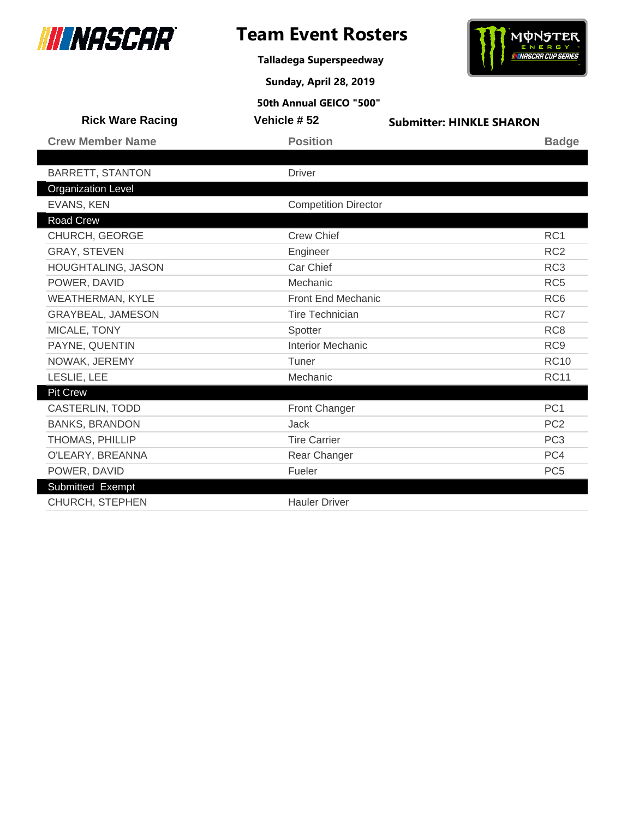

**Talladega Superspeedway**

**Sunday, April 28, 2019**



| <b>Rick Ware Racing</b>   | Vehicle #52                 | <b>Submitter: HINKLE SHARON</b> |
|---------------------------|-----------------------------|---------------------------------|
| <b>Crew Member Name</b>   | <b>Position</b>             | <b>Badge</b>                    |
|                           |                             |                                 |
| <b>BARRETT, STANTON</b>   | <b>Driver</b>               |                                 |
| <b>Organization Level</b> |                             |                                 |
| EVANS, KEN                | <b>Competition Director</b> |                                 |
| Road Crew                 |                             |                                 |
| CHURCH, GEORGE            | <b>Crew Chief</b>           | RC <sub>1</sub>                 |
| <b>GRAY, STEVEN</b>       | Engineer                    | RC <sub>2</sub>                 |
| HOUGHTALING, JASON        | Car Chief                   | RC <sub>3</sub>                 |
| POWER, DAVID              | Mechanic                    | RC <sub>5</sub>                 |
| <b>WEATHERMAN, KYLE</b>   | Front End Mechanic          | RC <sub>6</sub>                 |
| GRAYBEAL, JAMESON         | <b>Tire Technician</b>      | RC7                             |
| MICALE, TONY              | Spotter                     | RC <sub>8</sub>                 |
| PAYNE, QUENTIN            | <b>Interior Mechanic</b>    | RC <sub>9</sub>                 |
| NOWAK, JEREMY             | Tuner                       | <b>RC10</b>                     |
| LESLIE, LEE               | Mechanic                    | <b>RC11</b>                     |
| <b>Pit Crew</b>           |                             |                                 |
| <b>CASTERLIN, TODD</b>    | Front Changer               | PC <sub>1</sub>                 |
| <b>BANKS, BRANDON</b>     | <b>Jack</b>                 | PC <sub>2</sub>                 |
| <b>THOMAS, PHILLIP</b>    | <b>Tire Carrier</b>         | PC <sub>3</sub>                 |
| O'LEARY, BREANNA          | Rear Changer                | PC4                             |
| POWER, DAVID              | Fueler                      | PC <sub>5</sub>                 |
| Submitted Exempt          |                             |                                 |
| <b>CHURCH, STEPHEN</b>    | <b>Hauler Driver</b>        |                                 |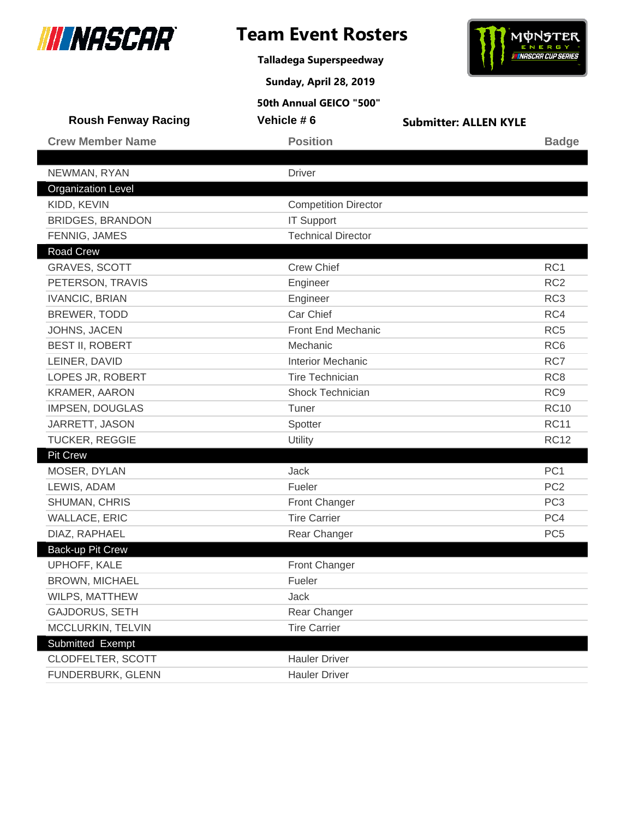

**Talladega Superspeedway**

**Sunday, April 28, 2019**



| <b>Roush Fenway Racing</b> | Vehicle #6                  | <b>Submitter: ALLEN KYLE</b> |                 |
|----------------------------|-----------------------------|------------------------------|-----------------|
| <b>Crew Member Name</b>    | <b>Position</b>             |                              | <b>Badge</b>    |
|                            |                             |                              |                 |
| NEWMAN, RYAN               | <b>Driver</b>               |                              |                 |
| <b>Organization Level</b>  |                             |                              |                 |
| KIDD, KEVIN                | <b>Competition Director</b> |                              |                 |
| <b>BRIDGES, BRANDON</b>    | <b>IT Support</b>           |                              |                 |
| FENNIG, JAMES              | <b>Technical Director</b>   |                              |                 |
| <b>Road Crew</b>           |                             |                              |                 |
| <b>GRAVES, SCOTT</b>       | <b>Crew Chief</b>           |                              | RC1             |
| PETERSON, TRAVIS           | Engineer                    |                              | RC <sub>2</sub> |
| <b>IVANCIC, BRIAN</b>      | Engineer                    |                              | RC <sub>3</sub> |
| BREWER, TODD               | Car Chief                   |                              | RC4             |
| JOHNS, JACEN               | Front End Mechanic          |                              | RC <sub>5</sub> |
| <b>BEST II, ROBERT</b>     | Mechanic                    |                              | RC <sub>6</sub> |
| LEINER, DAVID              | <b>Interior Mechanic</b>    |                              | RC7             |
| LOPES JR, ROBERT           | <b>Tire Technician</b>      |                              | RC <sub>8</sub> |
| <b>KRAMER, AARON</b>       | <b>Shock Technician</b>     |                              | RC <sub>9</sub> |
| <b>IMPSEN, DOUGLAS</b>     | Tuner                       |                              | <b>RC10</b>     |
| JARRETT, JASON             | Spotter                     |                              | <b>RC11</b>     |
| TUCKER, REGGIE             | Utility                     |                              | <b>RC12</b>     |
| <b>Pit Crew</b>            |                             |                              |                 |
| MOSER, DYLAN               | Jack                        |                              | PC <sub>1</sub> |
| LEWIS, ADAM                | Fueler                      |                              | PC <sub>2</sub> |
| SHUMAN, CHRIS              | Front Changer               |                              | PC <sub>3</sub> |
| <b>WALLACE, ERIC</b>       | <b>Tire Carrier</b>         |                              | PC4             |
| DIAZ, RAPHAEL              | Rear Changer                |                              | PC <sub>5</sub> |
| Back-up Pit Crew           |                             |                              |                 |
| UPHOFF, KALE               | Front Changer               |                              |                 |
| <b>BROWN, MICHAEL</b>      | Fueler                      |                              |                 |
| WILPS, MATTHEW             | Jack                        |                              |                 |
| <b>GAJDORUS, SETH</b>      | Rear Changer                |                              |                 |
| MCCLURKIN, TELVIN          | <b>Tire Carrier</b>         |                              |                 |
| Submitted Exempt           |                             |                              |                 |
| CLODFELTER, SCOTT          | <b>Hauler Driver</b>        |                              |                 |
| FUNDERBURK, GLENN          | <b>Hauler Driver</b>        |                              |                 |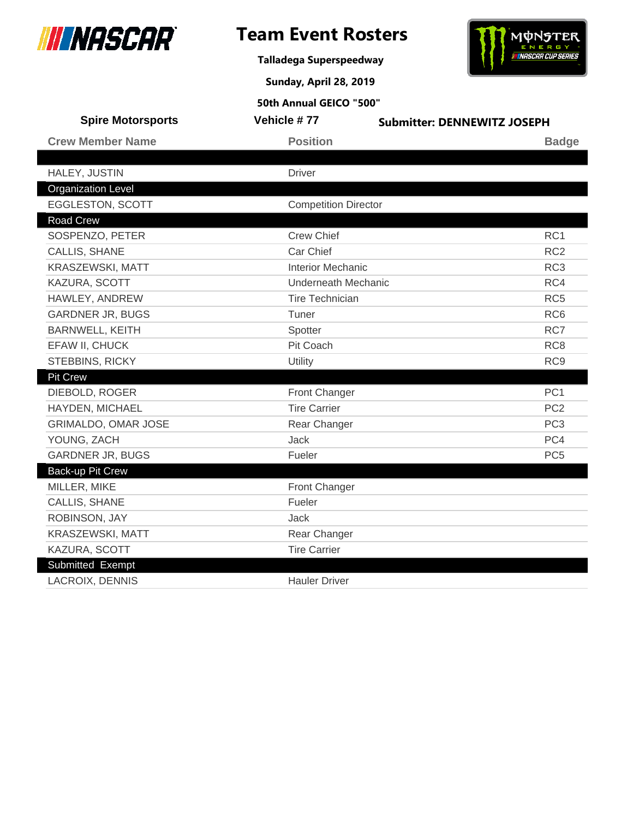

**Talladega Superspeedway**

**Sunday, April 28, 2019**



| 50th Annual GEICO "500"    |                             |                                    |  |
|----------------------------|-----------------------------|------------------------------------|--|
| <b>Spire Motorsports</b>   | Vehicle #77                 | <b>Submitter: DENNEWITZ JOSEPH</b> |  |
| <b>Crew Member Name</b>    | <b>Position</b>             | <b>Badge</b>                       |  |
|                            |                             |                                    |  |
| HALEY, JUSTIN              | <b>Driver</b>               |                                    |  |
| <b>Organization Level</b>  |                             |                                    |  |
| EGGLESTON, SCOTT           | <b>Competition Director</b> |                                    |  |
| <b>Road Crew</b>           |                             |                                    |  |
| SOSPENZO, PETER            | <b>Crew Chief</b>           | RC <sub>1</sub>                    |  |
| CALLIS, SHANE              | Car Chief                   | RC <sub>2</sub>                    |  |
| KRASZEWSKI, MATT           | <b>Interior Mechanic</b>    | RC <sub>3</sub>                    |  |
| KAZURA, SCOTT              | <b>Underneath Mechanic</b>  | RC4                                |  |
| HAWLEY, ANDREW             | <b>Tire Technician</b>      | RC <sub>5</sub>                    |  |
| <b>GARDNER JR, BUGS</b>    | Tuner                       | RC <sub>6</sub>                    |  |
| <b>BARNWELL, KEITH</b>     | RC7<br>Spotter              |                                    |  |
| EFAW II, CHUCK             | Pit Coach                   | RC <sub>8</sub>                    |  |
| STEBBINS, RICKY            | Utility                     | RC <sub>9</sub>                    |  |
| <b>Pit Crew</b>            |                             |                                    |  |
| DIEBOLD, ROGER             | <b>Front Changer</b>        | PC <sub>1</sub>                    |  |
| HAYDEN, MICHAEL            | <b>Tire Carrier</b>         | PC <sub>2</sub>                    |  |
| <b>GRIMALDO, OMAR JOSE</b> | Rear Changer                | PC <sub>3</sub>                    |  |
| YOUNG, ZACH                | Jack                        | PC4                                |  |
| <b>GARDNER JR, BUGS</b>    | Fueler                      | PC <sub>5</sub>                    |  |
| <b>Back-up Pit Crew</b>    |                             |                                    |  |
| MILLER, MIKE               | Front Changer               |                                    |  |
| CALLIS, SHANE              | Fueler                      |                                    |  |
| ROBINSON, JAY              | Jack                        |                                    |  |
| KRASZEWSKI, MATT           | Rear Changer                |                                    |  |
| KAZURA, SCOTT              | <b>Tire Carrier</b>         |                                    |  |
| Submitted Exempt           |                             |                                    |  |
| <b>LACROIX, DENNIS</b>     | <b>Hauler Driver</b>        |                                    |  |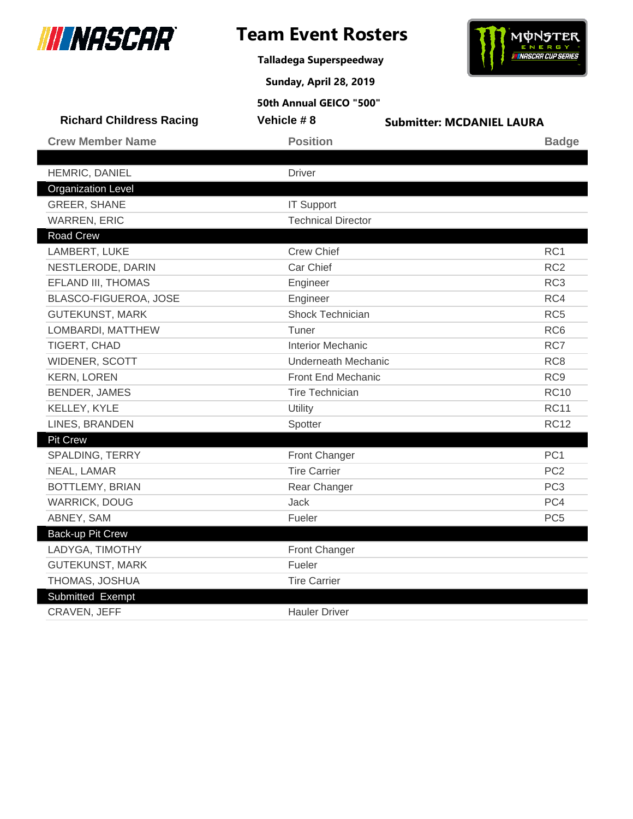

**Talladega Superspeedway**

**Sunday, April 28, 2019**



| 50th Annual GEICO "500"         |                            |                                  |                 |
|---------------------------------|----------------------------|----------------------------------|-----------------|
| <b>Richard Childress Racing</b> | Vehicle #8                 | <b>Submitter: MCDANIEL LAURA</b> |                 |
| <b>Crew Member Name</b>         | <b>Position</b>            |                                  | <b>Badge</b>    |
|                                 |                            |                                  |                 |
| HEMRIC, DANIEL                  | <b>Driver</b>              |                                  |                 |
| <b>Organization Level</b>       |                            |                                  |                 |
| <b>GREER, SHANE</b>             | <b>IT Support</b>          |                                  |                 |
| <b>WARREN, ERIC</b>             | <b>Technical Director</b>  |                                  |                 |
| <b>Road Crew</b>                |                            |                                  |                 |
| LAMBERT, LUKE                   | <b>Crew Chief</b>          |                                  | RC <sub>1</sub> |
| NESTLERODE, DARIN               | Car Chief                  |                                  | RC <sub>2</sub> |
| EFLAND III, THOMAS              | Engineer                   |                                  | RC <sub>3</sub> |
| BLASCO-FIGUEROA, JOSE           | Engineer                   |                                  | RC4             |
| <b>GUTEKUNST, MARK</b>          | Shock Technician           |                                  | RC <sub>5</sub> |
| LOMBARDI, MATTHEW               | Tuner                      |                                  | RC <sub>6</sub> |
| TIGERT, CHAD                    | <b>Interior Mechanic</b>   |                                  | RC7             |
| WIDENER, SCOTT                  | <b>Underneath Mechanic</b> |                                  | RC <sub>8</sub> |
| <b>KERN, LOREN</b>              | <b>Front End Mechanic</b>  |                                  | RC <sub>9</sub> |
| <b>BENDER, JAMES</b>            | <b>Tire Technician</b>     |                                  | <b>RC10</b>     |
| KELLEY, KYLE                    | Utility                    |                                  | <b>RC11</b>     |
| LINES, BRANDEN                  | Spotter                    |                                  | <b>RC12</b>     |
| <b>Pit Crew</b>                 |                            |                                  |                 |
| SPALDING, TERRY                 | Front Changer              |                                  | PC <sub>1</sub> |
| NEAL, LAMAR                     | <b>Tire Carrier</b>        |                                  | PC <sub>2</sub> |
| BOTTLEMY, BRIAN                 | Rear Changer               |                                  | PC <sub>3</sub> |
| <b>WARRICK, DOUG</b>            | Jack                       |                                  | PC4             |
| ABNEY, SAM                      | Fueler                     |                                  | PC <sub>5</sub> |
| <b>Back-up Pit Crew</b>         |                            |                                  |                 |
| LADYGA, TIMOTHY                 | Front Changer              |                                  |                 |
| <b>GUTEKUNST, MARK</b>          | Fueler                     |                                  |                 |
| THOMAS, JOSHUA                  | <b>Tire Carrier</b>        |                                  |                 |
| Submitted Exempt                |                            |                                  |                 |
| CRAVEN, JEFF                    | <b>Hauler Driver</b>       |                                  |                 |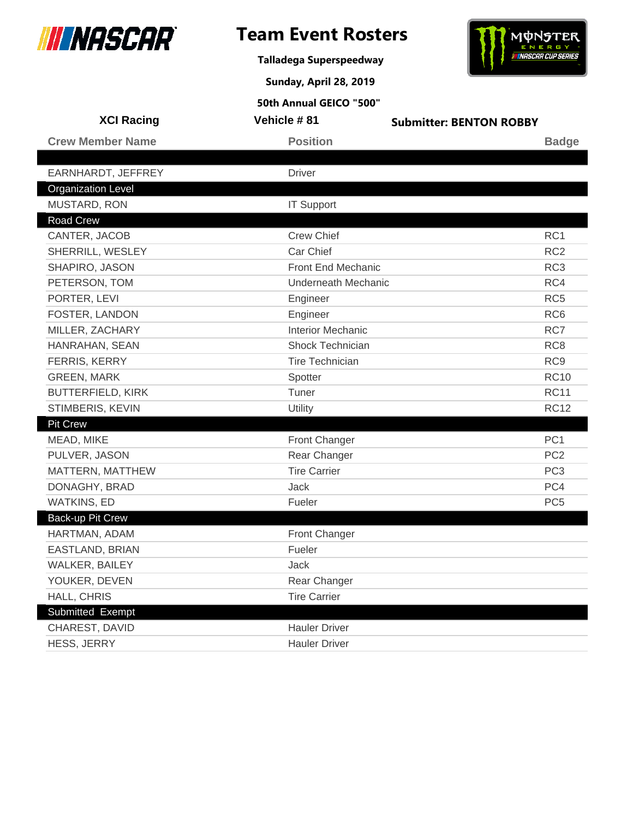

**Talladega Superspeedway**

**Sunday, April 28, 2019**



| <b>XCI Racing</b>         | Vehicle #81                | <b>Submitter: BENTON ROBBY</b> |
|---------------------------|----------------------------|--------------------------------|
| <b>Crew Member Name</b>   | <b>Position</b>            | <b>Badge</b>                   |
|                           |                            |                                |
| EARNHARDT, JEFFREY        | <b>Driver</b>              |                                |
| <b>Organization Level</b> |                            |                                |
| MUSTARD, RON              | <b>IT Support</b>          |                                |
| Road Crew                 |                            |                                |
| CANTER, JACOB             | <b>Crew Chief</b>          | RC <sub>1</sub>                |
| SHERRILL, WESLEY          | Car Chief                  | RC <sub>2</sub>                |
| SHAPIRO, JASON            | Front End Mechanic         | RC <sub>3</sub>                |
| PETERSON, TOM             | <b>Underneath Mechanic</b> | RC4                            |
| PORTER, LEVI              | Engineer                   | RC <sub>5</sub>                |
| FOSTER, LANDON            | Engineer                   | RC <sub>6</sub>                |
| MILLER, ZACHARY           | <b>Interior Mechanic</b>   | RC7                            |
| HANRAHAN, SEAN            | Shock Technician           | RC <sub>8</sub>                |
| FERRIS, KERRY             | <b>Tire Technician</b>     | RC <sub>9</sub>                |
| <b>GREEN, MARK</b>        | Spotter                    | <b>RC10</b>                    |
| BUTTERFIELD, KIRK         | Tuner                      | <b>RC11</b>                    |
| STIMBERIS, KEVIN          | Utility                    | <b>RC12</b>                    |
| <b>Pit Crew</b>           |                            |                                |
| MEAD, MIKE                | Front Changer              | PC <sub>1</sub>                |
| PULVER, JASON             | Rear Changer               | PC <sub>2</sub>                |
| MATTERN, MATTHEW          | <b>Tire Carrier</b>        | PC <sub>3</sub>                |
| DONAGHY, BRAD             | Jack                       | PC4                            |
| <b>WATKINS, ED</b>        | Fueler                     | PC <sub>5</sub>                |
| Back-up Pit Crew          |                            |                                |
| HARTMAN, ADAM             | Front Changer              |                                |
| EASTLAND, BRIAN           | Fueler                     |                                |
| WALKER, BAILEY            | Jack                       |                                |
| YOUKER, DEVEN             | Rear Changer               |                                |
| HALL, CHRIS               | <b>Tire Carrier</b>        |                                |
| Submitted Exempt          |                            |                                |
| CHAREST, DAVID            | <b>Hauler Driver</b>       |                                |
| <b>HESS, JERRY</b>        | <b>Hauler Driver</b>       |                                |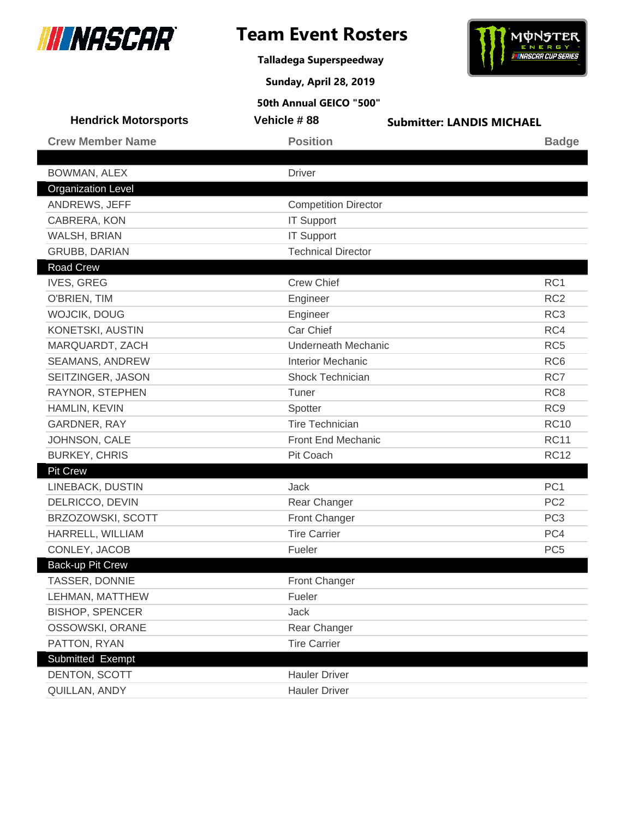

**Talladega Superspeedway**



**Sunday, April 28, 2019**

| <b>Hendrick Motorsports</b> | Vehicle #88                 | <b>Submitter: LANDIS MICHAEL</b> |
|-----------------------------|-----------------------------|----------------------------------|
| <b>Crew Member Name</b>     | <b>Position</b>             | <b>Badge</b>                     |
|                             |                             |                                  |
| BOWMAN, ALEX                | <b>Driver</b>               |                                  |
| <b>Organization Level</b>   |                             |                                  |
| ANDREWS, JEFF               | <b>Competition Director</b> |                                  |
| CABRERA, KON                | <b>IT Support</b>           |                                  |
| WALSH, BRIAN                | <b>IT Support</b>           |                                  |
| <b>GRUBB, DARIAN</b>        | <b>Technical Director</b>   |                                  |
| <b>Road Crew</b>            |                             |                                  |
| <b>IVES, GREG</b>           | <b>Crew Chief</b>           | RC1                              |
| O'BRIEN, TIM                | Engineer                    | RC <sub>2</sub>                  |
| WOJCIK, DOUG                | Engineer                    | RC <sub>3</sub>                  |
| KONETSKI, AUSTIN            | Car Chief                   | RC4                              |
| MARQUARDT, ZACH             | <b>Underneath Mechanic</b>  | RC <sub>5</sub>                  |
| SEAMANS, ANDREW             | <b>Interior Mechanic</b>    | RC <sub>6</sub>                  |
| SEITZINGER, JASON           | <b>Shock Technician</b>     | RC7                              |
| RAYNOR, STEPHEN             | Tuner                       | RC <sub>8</sub>                  |
| HAMLIN, KEVIN               | Spotter                     | RC <sub>9</sub>                  |
| GARDNER, RAY                | <b>Tire Technician</b>      | <b>RC10</b>                      |
| JOHNSON, CALE               | Front End Mechanic          | <b>RC11</b>                      |
| <b>BURKEY, CHRIS</b>        | Pit Coach                   | <b>RC12</b>                      |
| <b>Pit Crew</b>             |                             |                                  |
| LINEBACK, DUSTIN            | Jack                        | PC <sub>1</sub>                  |
| DELRICCO, DEVIN             | Rear Changer                | PC <sub>2</sub>                  |
| BRZOZOWSKI, SCOTT           | <b>Front Changer</b>        | PC <sub>3</sub>                  |
| HARRELL, WILLIAM            | <b>Tire Carrier</b>         | PC4                              |
| CONLEY, JACOB               | Fueler                      | PC <sub>5</sub>                  |
| Back-up Pit Crew            |                             |                                  |
| TASSER, DONNIE              | <b>Front Changer</b>        |                                  |
| LEHMAN, MATTHEW             | Fueler                      |                                  |
| <b>BISHOP, SPENCER</b>      | Jack                        |                                  |
| OSSOWSKI, ORANE             | Rear Changer                |                                  |
| PATTON, RYAN                | <b>Tire Carrier</b>         |                                  |
| Submitted Exempt            |                             |                                  |
| DENTON, SCOTT               | <b>Hauler Driver</b>        |                                  |
| QUILLAN, ANDY               | <b>Hauler Driver</b>        |                                  |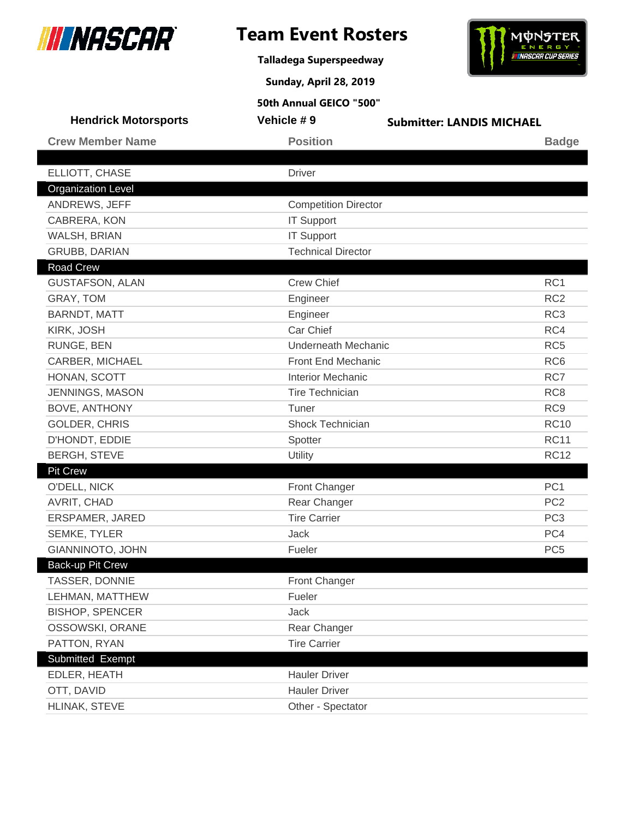

**Talladega Superspeedway**



**Sunday, April 28, 2019**

| <b>Hendrick Motorsports</b> | Vehicle #9                  | <b>Submitter: LANDIS MICHAEL</b> |
|-----------------------------|-----------------------------|----------------------------------|
| <b>Crew Member Name</b>     | <b>Position</b>             | <b>Badge</b>                     |
|                             |                             |                                  |
| ELLIOTT, CHASE              | <b>Driver</b>               |                                  |
| <b>Organization Level</b>   |                             |                                  |
| ANDREWS, JEFF               | <b>Competition Director</b> |                                  |
| CABRERA, KON                | <b>IT Support</b>           |                                  |
| WALSH, BRIAN                | <b>IT Support</b>           |                                  |
| <b>GRUBB, DARIAN</b>        | <b>Technical Director</b>   |                                  |
| <b>Road Crew</b>            |                             |                                  |
| <b>GUSTAFSON, ALAN</b>      | <b>Crew Chief</b>           | RC <sub>1</sub>                  |
| GRAY, TOM                   | Engineer                    | RC <sub>2</sub>                  |
| <b>BARNDT, MATT</b>         | Engineer                    | RC <sub>3</sub>                  |
| KIRK, JOSH                  | Car Chief                   | RC4                              |
| RUNGE, BEN                  | <b>Underneath Mechanic</b>  | RC <sub>5</sub>                  |
| CARBER, MICHAEL             | Front End Mechanic          | RC <sub>6</sub>                  |
| HONAN, SCOTT                | <b>Interior Mechanic</b>    | RC7                              |
| <b>JENNINGS, MASON</b>      | <b>Tire Technician</b>      | RC <sub>8</sub>                  |
| <b>BOVE, ANTHONY</b>        | Tuner                       | RC <sub>9</sub>                  |
| GOLDER, CHRIS               | Shock Technician            | <b>RC10</b>                      |
| D'HONDT, EDDIE              | Spotter                     | <b>RC11</b>                      |
| <b>BERGH, STEVE</b>         | Utility                     | <b>RC12</b>                      |
| Pit Crew                    |                             |                                  |
| O'DELL, NICK                | <b>Front Changer</b>        | PC <sub>1</sub>                  |
| AVRIT, CHAD                 | Rear Changer                | PC <sub>2</sub>                  |
| ERSPAMER, JARED             | <b>Tire Carrier</b>         | PC <sub>3</sub>                  |
| <b>SEMKE, TYLER</b>         | Jack                        | PC4                              |
| GIANNINOTO, JOHN            | Fueler                      | PC <sub>5</sub>                  |
| Back-up Pit Crew            |                             |                                  |
| TASSER, DONNIE              | Front Changer               |                                  |
| LEHMAN, MATTHEW             | Fueler                      |                                  |
| <b>BISHOP, SPENCER</b>      | Jack                        |                                  |
| OSSOWSKI, ORANE             | Rear Changer                |                                  |
| PATTON, RYAN                | <b>Tire Carrier</b>         |                                  |
| Submitted Exempt            |                             |                                  |
| EDLER, HEATH                | <b>Hauler Driver</b>        |                                  |
| OTT, DAVID                  | <b>Hauler Driver</b>        |                                  |
| HLINAK, STEVE               | Other - Spectator           |                                  |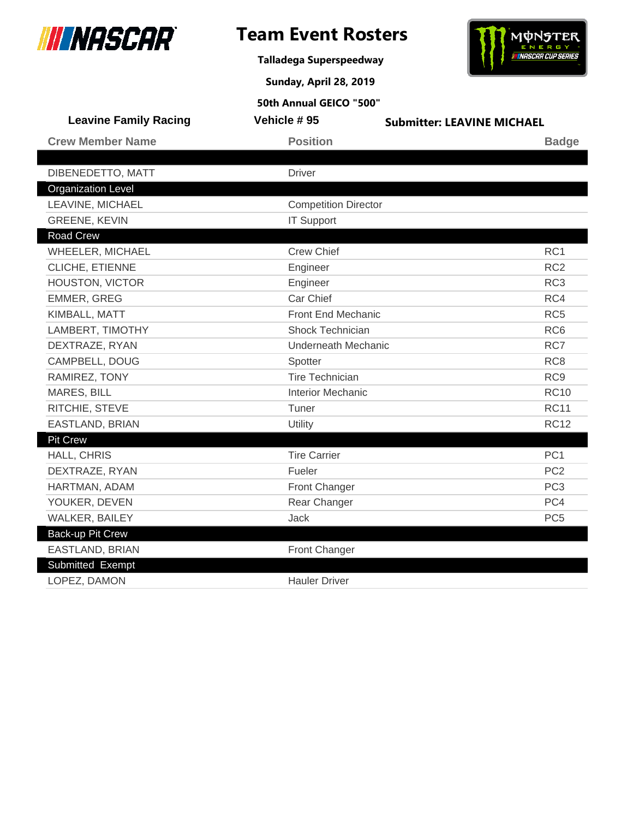

**Talladega Superspeedway**

**Sunday, April 28, 2019**



| <b>Leavine Family Racing</b> | Vehicle #95                 | <b>Submitter: LEAVINE MICHAEL</b> |
|------------------------------|-----------------------------|-----------------------------------|
| <b>Crew Member Name</b>      | <b>Position</b>             | <b>Badge</b>                      |
|                              |                             |                                   |
| DIBENEDETTO, MATT            | <b>Driver</b>               |                                   |
| <b>Organization Level</b>    |                             |                                   |
| LEAVINE, MICHAEL             | <b>Competition Director</b> |                                   |
| <b>GREENE, KEVIN</b>         | <b>IT Support</b>           |                                   |
| <b>Road Crew</b>             |                             |                                   |
| WHEELER, MICHAEL             | <b>Crew Chief</b>           | RC <sub>1</sub>                   |
| CLICHE, ETIENNE              | Engineer                    | RC <sub>2</sub>                   |
| HOUSTON, VICTOR              | Engineer                    | RC <sub>3</sub>                   |
| <b>EMMER, GREG</b>           | Car Chief                   | RC4                               |
| KIMBALL, MATT                | <b>Front End Mechanic</b>   | RC <sub>5</sub>                   |
| LAMBERT, TIMOTHY             | <b>Shock Technician</b>     | RC <sub>6</sub>                   |
| DEXTRAZE, RYAN               | <b>Underneath Mechanic</b>  | RC7                               |
| CAMPBELL, DOUG               | Spotter                     | RC <sub>8</sub>                   |
| RAMIREZ, TONY                | <b>Tire Technician</b>      | RC <sub>9</sub>                   |
| <b>MARES, BILL</b>           | <b>Interior Mechanic</b>    | <b>RC10</b>                       |
| RITCHIE, STEVE               | Tuner                       | <b>RC11</b>                       |
| <b>EASTLAND, BRIAN</b>       | Utility                     | <b>RC12</b>                       |
| <b>Pit Crew</b>              |                             |                                   |
| HALL, CHRIS                  | <b>Tire Carrier</b>         | PC <sub>1</sub>                   |
| DEXTRAZE, RYAN               | Fueler                      | PC <sub>2</sub>                   |
| HARTMAN, ADAM                | Front Changer               | PC <sub>3</sub>                   |
| YOUKER, DEVEN                | Rear Changer                | PC4                               |
| WALKER, BAILEY               | Jack                        | PC <sub>5</sub>                   |
| Back-up Pit Crew             |                             |                                   |
| EASTLAND, BRIAN              | Front Changer               |                                   |
| Submitted Exempt             |                             |                                   |
| LOPEZ, DAMON                 | <b>Hauler Driver</b>        |                                   |